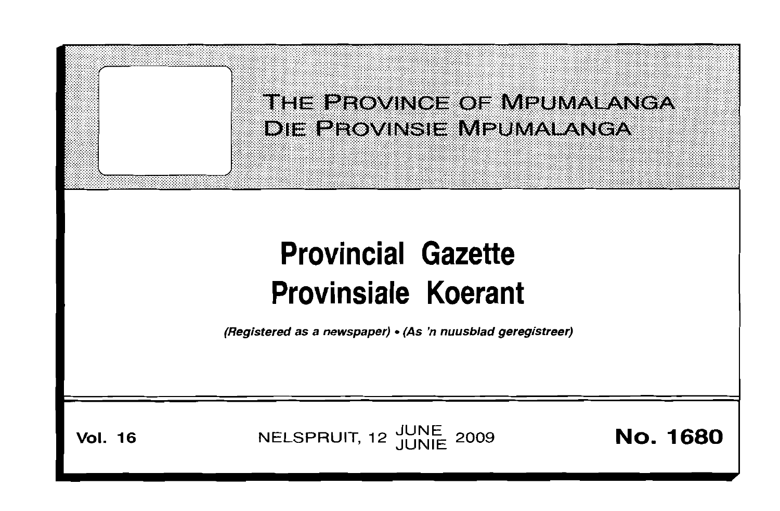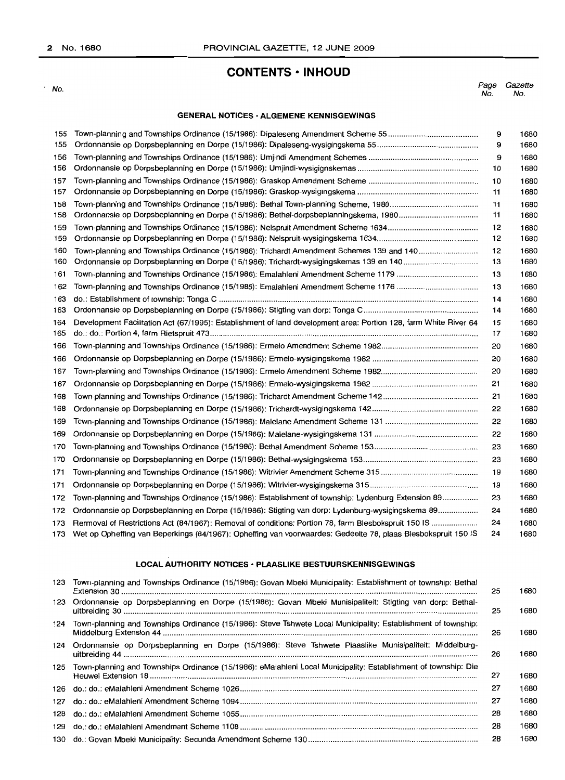## **CONTENTS ·INHOUD**

 $\cdot$  No.

Page Gazette No. No.

#### **GENERAL NOTICES· ALGEMENE KENNISGEWINGS**

| 155 |                                                                                                                  | 9  | 1680 |
|-----|------------------------------------------------------------------------------------------------------------------|----|------|
| 155 |                                                                                                                  | 9  | 1680 |
| 156 |                                                                                                                  | 9  | 1680 |
| 156 |                                                                                                                  | 10 | 1680 |
| 157 |                                                                                                                  | 10 | 1680 |
| 157 |                                                                                                                  | 11 | 1680 |
| 158 |                                                                                                                  | 11 | 1680 |
| 158 |                                                                                                                  | 11 | 1680 |
| 159 |                                                                                                                  | 12 | 1680 |
| 159 |                                                                                                                  | 12 | 1680 |
| 160 | Town-planning and Townships Ordinance (15/1986): Trichardt Amendment Schemes 139 and 140                         | 12 | 1680 |
| 160 |                                                                                                                  | 13 | 1680 |
| 161 |                                                                                                                  | 13 | 1680 |
| 162 |                                                                                                                  | 13 | 1680 |
| 163 |                                                                                                                  | 14 | 1680 |
| 163 |                                                                                                                  | 14 | 1680 |
| 164 | Development Facilitation Act (67/1995): Establishment of land development area: Portion 128, farm White River 64 | 15 | 1680 |
| 165 |                                                                                                                  | 17 | 1680 |
| 166 |                                                                                                                  | 20 | 1680 |
| 166 |                                                                                                                  | 20 | 1680 |
| 167 |                                                                                                                  | 20 | 1680 |
| 167 |                                                                                                                  | 21 | 1680 |
| 168 |                                                                                                                  | 21 | 1680 |
| 168 |                                                                                                                  | 22 | 1680 |
| 169 |                                                                                                                  | 22 | 1680 |
| 169 |                                                                                                                  | 22 | 1680 |
| 170 |                                                                                                                  | 23 | 1680 |
| 170 |                                                                                                                  | 23 | 1680 |
| 171 |                                                                                                                  | 19 | 1680 |
| 171 |                                                                                                                  | 19 | 1680 |
| 172 | Town-planning and Townships Ordinance (15/1986): Establishment of township: Lydenburg Extension 89               | 23 | 1680 |
| 172 | Ordonnansie op Dorpsbeplanning en Dorpe (15/1986): Stigting van dorp: Lydenburg-wysigingskema 89                 | 24 | 1680 |
| 173 | Rermoval of Restrictions Act (84/1967): Removal of conditions: Portion 78, farm Blesbokspruit 150 IS             | 24 | 1680 |
| 173 | Wet op Opheffing van Beperkings (84/1967): Opheffing van voorwaardes: Gedeelte 78, plaas Blesbokspruit 150 IS    | 24 | 1680 |

## **LOCAL AUTHORITY NOTICES· PLAASLIKE BESTUURSKENNISGEWINGS**

| 123 | Town-planning and Townships Ordinance (15/1986): Govan Mbeki Municipality: Establishment of township: Bethal       | 25 | 1680 |
|-----|--------------------------------------------------------------------------------------------------------------------|----|------|
| 123 | Ordonnansie op Dorpsbeplanning en Dorpe (15/1986): Govan Mbeki Munisipaliteit: Stigting van dorp: Bethal-          | 25 | 1680 |
| 124 | Town-planning and Townships Ordinance (15/1986): Steve Tshwete Local Municipality: Establishment of township:      | 26 | 1680 |
|     | 124 Ordonnansie op Dorpsbeplanning en Dorpe (15/1986): Steve Tshwete Plaaslike Munisipaliteit: Middelburg-         | 26 | 1680 |
|     | 125 Town-planning and Townships Ordinance (15/1986): eMalahleni Local Municipality: Establishment of township: Die | 27 | 1680 |
| 126 |                                                                                                                    | 27 | 1680 |
| 127 |                                                                                                                    | 27 | 1680 |
| 128 |                                                                                                                    | 28 | 1680 |
| 129 |                                                                                                                    | 28 | 1680 |
|     |                                                                                                                    | 28 | 1680 |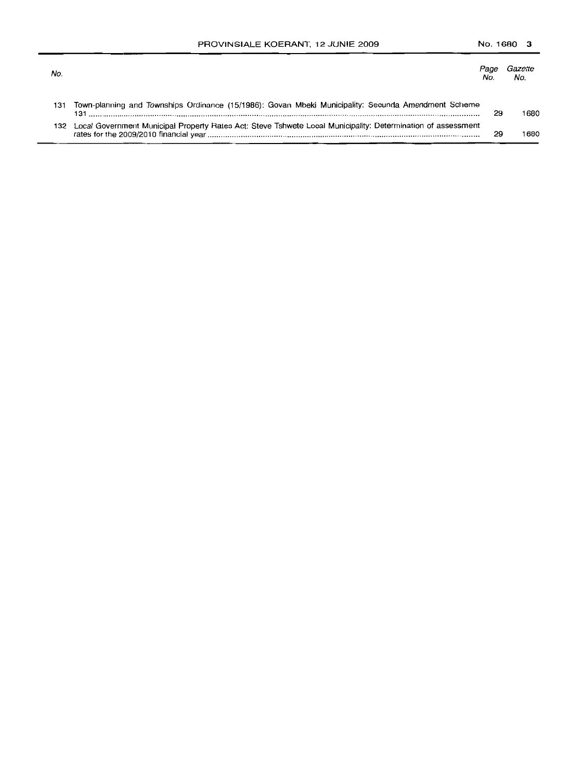| No. |                                                                                                                  | <i>Page</i> | No.  |
|-----|------------------------------------------------------------------------------------------------------------------|-------------|------|
| 131 | Town-planning and Townships Ordinance (15/1986): Govan Mbeki Municipality: Secunda Amendment Scheme              | 29          | 1680 |
|     | 132 Local Government Municipal Property Rates Act: Steve Tshwete Local Municipality: Determination of assessment | 29          | 680  |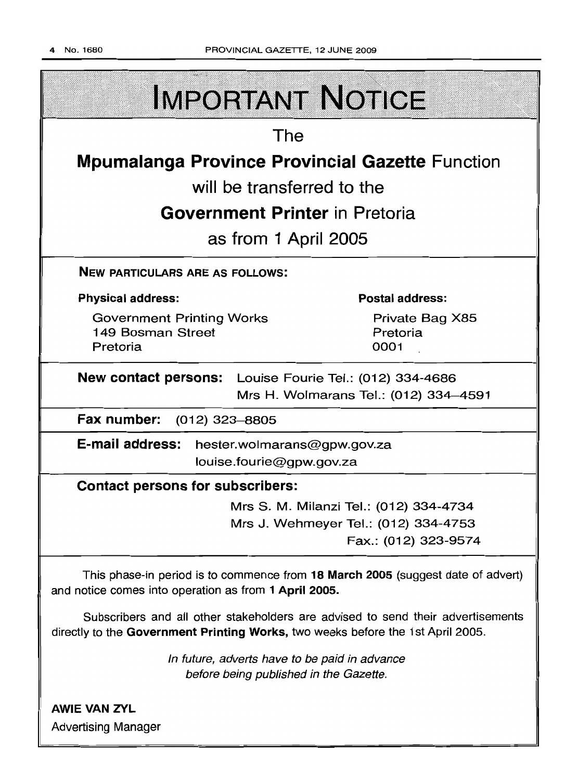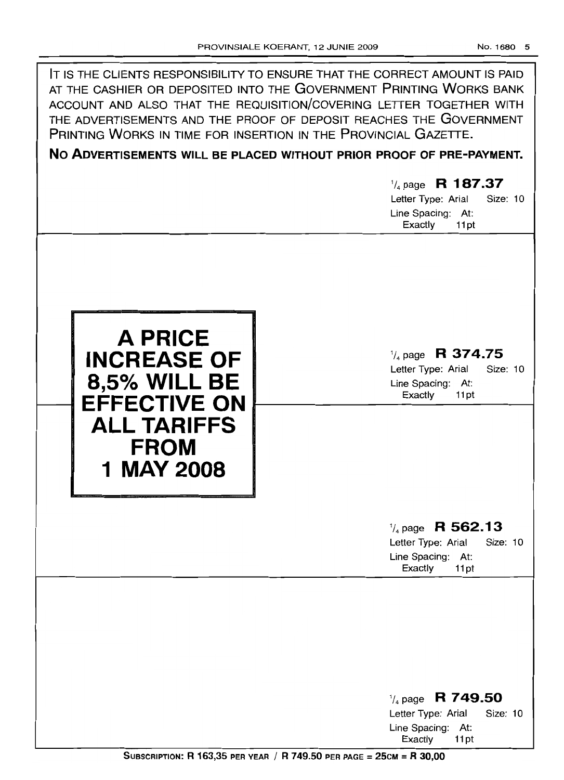| IT IS THE CLIENTS RESPONSIBILITY TO ENSURE THAT THE CORRECT AMOUNT IS PAID<br>AT THE CASHIER OR DEPOSITED INTO THE GOVERNMENT PRINTING WORKS BANK<br>ACCOUNT AND ALSO THAT THE REQUISITION/COVERING LETTER TOGETHER WITH<br>THE ADVERTISEMENTS AND THE PROOF OF DEPOSIT REACHES THE GOVERNMENT<br>PRINTING WORKS IN TIME FOR INSERTION IN THE PROVINCIAL GAZETTE.<br>NO ADVERTISEMENTS WILL BE PLACED WITHOUT PRIOR PROOF OF PRE-PAYMENT. |                                                                                                          |  |  |  |  |
|-------------------------------------------------------------------------------------------------------------------------------------------------------------------------------------------------------------------------------------------------------------------------------------------------------------------------------------------------------------------------------------------------------------------------------------------|----------------------------------------------------------------------------------------------------------|--|--|--|--|
|                                                                                                                                                                                                                                                                                                                                                                                                                                           | R 187.37<br>$\frac{1}{4}$ page<br>Letter Type: Arial<br>Size: 10<br>Line Spacing: At:<br>Exactly<br>11pt |  |  |  |  |
| A PRICE<br><b>INCREASE OF</b><br><b>8,5% WILL BE</b><br><b>EFFECTIVE ON</b><br><b>ALL TARIFFS</b><br><b>FROM</b><br>1 MAY 2008                                                                                                                                                                                                                                                                                                            | R 374.75<br>$\frac{1}{4}$ page<br>Size: 10<br>Letter Type: Arial<br>Line Spacing: At:<br>Exactly<br>11pt |  |  |  |  |
|                                                                                                                                                                                                                                                                                                                                                                                                                                           | $\frac{1}{4}$ page R 562.13<br>Letter Type: Arial<br>Size: 10<br>Line Spacing: At:<br>Exactly<br>11pt    |  |  |  |  |
|                                                                                                                                                                                                                                                                                                                                                                                                                                           | $\frac{1}{4}$ page R 749.50<br>Size: 10<br>Letter Type: Arial<br>Line Spacing: At:<br>Exactly<br>11pt    |  |  |  |  |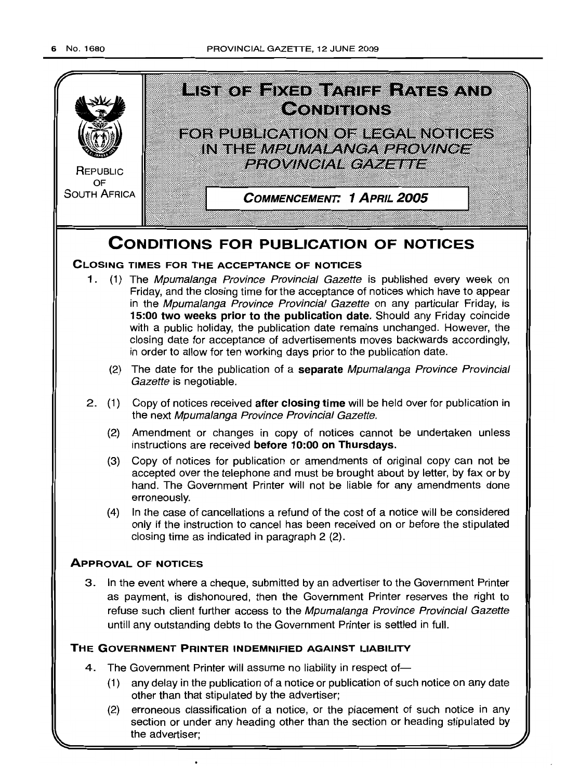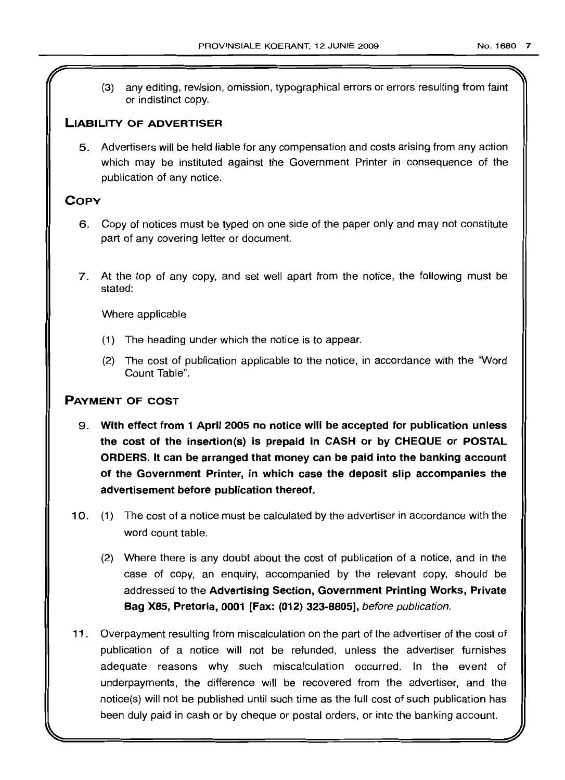any editing, revision, omission, typographical errors or errors resulting from faint  $(3)$ or indistinct copy.

## **LIABILITY OF ADVERTISER**

5. Advertisers will be held liable for any compensation and costs arising from any action which may be instituted against the Government Printer in consequence of the publication of any notice.

## **COpy**

- 6. Copy of notices must be typed on one side of the paper only and may not constitute part of any covering letter or document.
- 7. At the top of any copy, and set well apart from the notice, the following must be stated:

Where applicable

- (1) The heading under which the notice is to appear.
- (2) The cost of publication applicable to the notice, in accordance with the "Word Count Table".

## **PAYMENT OF COST**

- 9. **With effect from 1 April 2005 no notice will be accepted for publication unless the cost of the insertion(s) is prepaid in CASH or by CHEQUE or POSTAL ORDERS. It can be arranged that money can be paid into the banking account of the Government Printer, in which case the deposit slip accompanies the advertisement before publication thereof.**
- 10. (1) The cost of a notice must be calculated by the advertiser in accordance with the word count table.
	- (2) Where there is any doubt about the cost of publication of a notice, and in the case of copy, an enquiry, accompanied by the relevant copy, should be addressed to the **Advertising Section, Government Printing Works, Private Bag X85, Pretoria, 0001 [Fax: (012) 323-8805],** before publication.
- **11** . Overpayment resulting from miscalculation on the part of the advertiser of the cost of publication of a notice will not be refunded, unless the advertiser furnishes adequate reasons why such miscalculation occurred. In the event of underpayments, the difference will be recovered from the advertiser, and the notice(s) will not be published until such time as the full cost of such publication has been duly paid in cash or by cheque or postal orders, or into the banking account.

I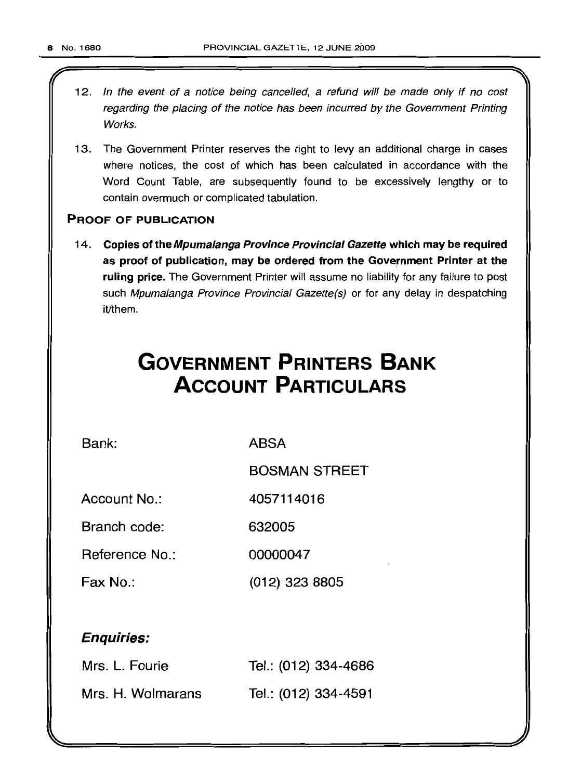- 12. In the event of a notice being cancelled, a refund will be made only if no cost regarding the placing of the notice has been incurred by the Government Printing Works.
- 13. The Government Printer reserves the right to levy an additional charge in cases where notices, the cost of which has been calculated in accordance with the Word Count Table, are subsequently found to be excessively lengthy or to contain overmuch or complicated tabulation.

## PROOF OF PUBLICATION

14. Copies of the Mpumalanga Province Provincial Gazette which may be required as proof of publication, may be ordered from the Government Printer at the ruling price. The Government Printer will assume no liability for any failure to post such Mpumalanga Province Provincial Gazette(s) or for any delay in despatching it/them.

# **GOVERNMENT PRINTERS BANK ACCOUNT PARTICULARS**

Bank: ABSA

BOSMAN STREET

Account No.: 4057114016

Branch code: 632005

Reference No.: 00000047

Fax No.: (012) 323 8805

## Enquiries:

| Mrs. L. Fourie    | Tel.: (012) 334-4686 |
|-------------------|----------------------|
| Mrs. H. Wolmarans | Tel.: (012) 334-4591 |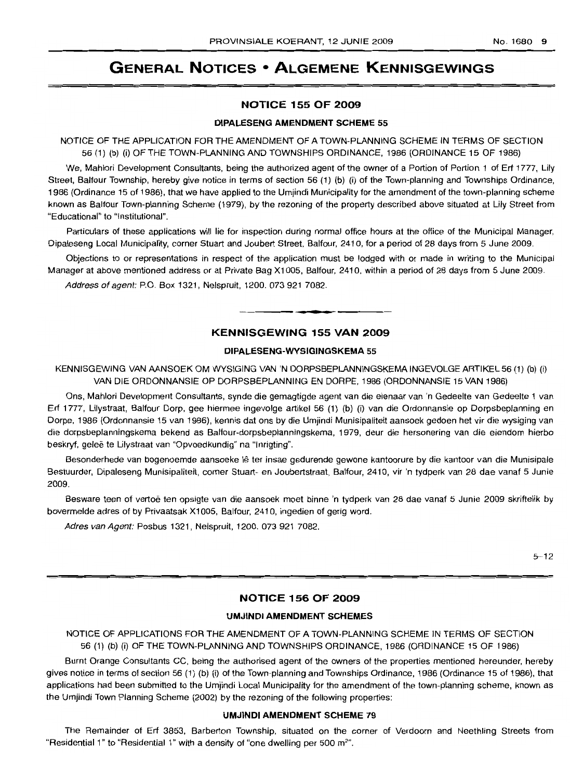## **GENERAL NOTICES • ALGEMENE KENNISGEWINGS**

#### **NOTICE 155 OF 2009**

#### **DIPALESENG AMENDMENT SCHEME 55**

NOTICE OF THE APPLICATION FOR THE AMENDMENT OF A TOWN-PLANNING SCHEME IN TERMS OF SECTION 56 (1) (b) (i) OF THE TOWN-PLANNING AND TOWNSHIPS ORDINANCE, 1986 (ORDINANCE 15 OF 1986)

We, Mahlori Development Consultants, being the authorized agent of the owner of a Portion of Portion 1 of Erf 1777, Lily Street, Balfour Township, hereby give notice in terms of section 56 (1) (b) (i) of the Town-planning and Townships Ordinance, 1986 (Ordinance 15 of 1986), that we have applied to the Umjindi Municipality for the amendment of the town-planning scheme known as Balfour Town-planning Scheme (1979), by the rezoning of the property described above situated at Lily Street from "Educational" to "Institutional".

Particulars of these applications will lie for inspection during normal office hours at the office of the Municipal Manager, Dipaleseng Local Municipality, corner Stuart and Joubert Street, Balfour, 2410, for a period of 28 days from 5 June 2009.

Objections to or representations in respect of the application must be lodged with or made in writing to the Municipal Manager at above mentioned address or at Private Bag X1005, Balfour, 2410, within a period of 28 days from 5 June 2009.

Address of agent: P.O. Box 1321, Nelspruit, 1200. 073 921 7082.

## **KENNISGEWING 155 VAN 2009**

**• •**

#### **DIPALESENG-WYSIGINGSKEMA** 55

KENNISGEWING VAN AANSOEK OM WYSIGING VAN 'N DORPSBEPLANNINGSKEMA INGEVOLGE ARTIKEL 56 (1) (b) (i) VAN DIE ORDONNANSIE OP DORPSBEPLANNING EN DORPE, 1986 (ORDONNANSIE 15 VAN 1986)

Ons, Mahlori Development Consultants, synde die gemagtigde agent van die eienaar van 'n Gedeelte van Gedeelte 1 van Erf 1777, Lilystraat, Balfour Dorp, gee hiermee ingevolge artikel 56 (1) (b) (i) van die Ordonnansie op Dorpsbeplanning en Dorpe, 1986 (Ordonnansie 15 van 1986), kennis dat ons by die Umjindi Munisipaliteit aansoek gedoen het vir die wysiging van die dorpsbeplanningskema bekend as Balfour-dorpsbeplanningskema, 1979, deur die hersonering van die eiendom hierbo beskryf, geleë te Lilystraat van "Opvoedkundig" na "Inrigting".

Besonderhede van bogenoemde aansoeke lê ter insae gedurende gewone kantoorure by die kantoor van die Munisipale Bestuurder, Dipaleseng Munisipaliteit, corner Stuart- en Joubertstraat, Balfour, 2410, vir 'n tydperk van 28 dae vanaf 5 Junie 2009.

Besware teen of vertoë ten opsigte van die aansoek moet binne 'n tydperk van 28 dae vanaf 5 Junie 2009 skriftelik by bovermelde adres of by Privaatsak X1005, Balfour, 2410, ingedien of gerig word.

Adres van Agent: Posbus 1321, Nelspruit, 1200. 073 921 7082.

 $5 - 12$ 

## **NOTICE 156 OF 2009**

#### **UMJINDI AMENDMENT SCHEMES**

NOTICE OF APPLICATIONS FOR THE AMENDMENT OF A TOWN-PLANNING SCHEME IN TERMS OF SECTION 56 (1) (b) (i) OF THE TOWN-PLANNING AND TOWNSHIPS ORDINANCE, 1986 (ORDINANCE 15 OF 1986)

Burnt Orange Consultants CC, being the authorised agent of the owners of the properties mentioned hereunder, hereby gives notice in terms of section 56 (1) (b) (i) of the Town-planning and Townships Ordinance, 1986 (Ordinance 15 of 1986), that applications had been submitted to the Umjindi Local Municipality for the amendment of the town-planning scheme, known as the Umjindi Town Planning Scheme (2002) by the rezoning of the following properties:

#### **UMJINDI AMENDMENT SCHEME 79**

The Remainder of Erf 3853, Barberton Township, situated on the corner of Verdoorn and Neethling Streets from "Residential 1" to "Residential 1" with a density of "one dwelling per 500  $m<sup>2</sup>$ ".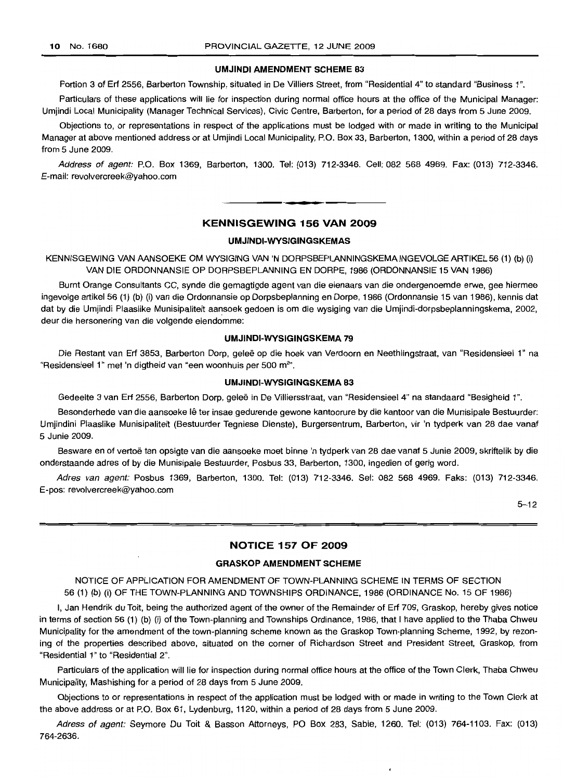#### **UMJINDI AMENDMENT SCHEME 83**

Portion 3 of Erf 2556, Barberton Township, situated in De Villiers Street, from "Residential 4" to standard "Business 1".

Particulars of these applications will lie for inspection during normal office hours at the office of the Municipal Manager: Umjindi Local Municipality (Manager Technical Services), Civic Centre, Barberton, for a period of 28 days from 5 June 2009.

Objections to, or representations in respect of the applications must be lodged with or made in writing to the Municipal Manager at above mentioned address or at Umjindi Local Municipality, P.O. Box 33, Barberton, 1300, within a period of 28 days from 5 June 2009.

Address of agent: P.O. Box 1369, Barberton, 1300. Tel: (013) 712-3346. Cell: 082 568 4969. Fax: (013) 712-3346. E-mail: revolvercreek@yahoo.com

## **KENNISGEWING 156 VAN 2009**

.**- .**

#### **UMJINDI-WYSIGINGSKEMAS**

KENNISGEWING VAN AANSOEKE OM WYSIGING VAN 'N DORPSBEPLANNINGSKEMA INGEVOLGE ARTIKEL 56 (1) (b) (i) VAN DIE ORDONNANSIE OP DORPSBEPLANNING EN DORPE, 1986 (ORDONNANSIE 15 VAN 1986)

Burnt Orange Consultants CC, synde die gemagtigde agent van die eienaars van die ondergenoemde erwe, gee hiermee ingevolge artikel 56 (1) (b) (i) van die Ordonnansie op Dorpsbeplanning en Dorpe, 1986 (Ordonnansie 15 van 1986), kennis dat dat by die Umjindi Plaaslike Munisipaliteit aansoek gedoen is om die wysiging van die Umjindi-dorpsbeplanningskema, 2002, deur die hersonering van die volgende eiendomme:

#### **UMJINDI-WYSIGINGSKEMA 79**

Die Restant van Erf 3853, Barberton Dorp, gelee op die hoek van Verdoorn en Neethlingstraat, van "Residensieel 1" na "Residensieel 1" met 'n digtheid van "een woonhuis per 500 m<sup>2</sup>".

#### **UMJINDI-WYSIGINGSKEMA 83**

Gedeelte 3 van Erf 2556, Barberton Dorp, geleë in De Villiersstraat, van "Residensieel 4" na standaard "Besigheid 1".

Besonderhede van die aansoeke lê ter insae gedurende gewone kantoorure by die kantoor van die Munisipale Bestuurder: Umjindini Plaaslike Munisipaliteit (Bestuurder Tegniese Dienste), Burgersentrum, Barberton, vir 'n tydperk van 28 dae vanaf 5 Junie 2009.

Besware en of vertoe ten opsigte van die aansoeke moet binne 'n tydperk van 28 dae vanaf 5 Junie 2009, skriftelik by die onderstaande adres of by die Munisipale Bestuurder, Posbus 33, Barberton, 1300, ingedien of gerig word.

Adres van agent: Posbus 1369, Barberton, 1300. Tel: (013) 712-3346. Sel: 082 568 4969. Faks: (013) 712-3346. E-pos: revolvercreek@yahoo.com

 $5 - 12$ 

## **NOTICE 157 OF 2009**

## **GRASKOP AMENDMENT SCHEME**

NOTICE OF APPLICATION FOR AMENDMENT OF TOWN-PLANNING SCHEME IN TERMS OF SECTION 56 (1) (b) (i) OF THE TOWN-PLANNING AND TOWNSHIPS ORDINANCE, 1986 (ORDINANCE No. 15 OF 1986)

I, Jan Hendrik du Toit, being the authorized agent of the owner of the Remainder of Erf 709, Graskop, hereby gives notice in terms of section 56 (1) (b) (i) of the Town-planning and Townships Ordinance, 1986, that I have applied to the Thaba Chweu Municipality for the amendment of the town-planning scheme known as the Graskop Town-planning Scheme, 1992, by rezoning of the properties described above, situated on the corner of Richardson Street and President Street, Graskop, from "Residential 1" to "Residential 2".

Particulars of the application will lie for inspection during normal office hours at the office of the Town Clerk, Thaba Chweu Municipality, Mashishing for a period of 28 days from 5 June 2009.

Objections to or representations in respect of the application must be lodged with or made in writing to the Town Clerk at the above address or at P.O. Box 61, Lydenburg, 1120, within a period of 28 days from 5 June 2009.

Adress of agent: Seymore Du Toit & Basson Attorneys, PO Box 283, Sabie, 1260. Tel: (013) 764-1103. Fax: (013) 764-2636.

 $\cdot$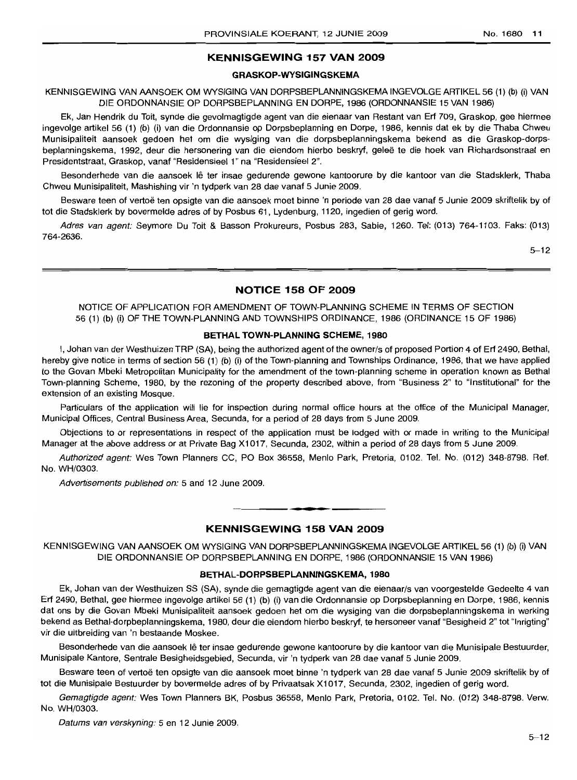## **KENNISGEWING 157 VAN 2009**

#### **GRASKOP-WYSIGINGSKEMA**

KENNISGEWING VAN AANSOEK OM WYSIGING VAN DORPSBEPLANNINGSKEMA INGEVOLGE ARTIKEL 56 (1) (b) (i) VAN DIE OFlDONNANSIE OP DORPSBEPLANNING EN DORPE, 1986 (ORDONNANSIE 15 VAN 1986)

Ek, Jan Hendrik du Toit, synde die gevolmagtigde agent van die eienaar van Restant van Erf 709, Graskop, gee hiermee ingevolge artikel 56 (1) (b) (i) van die Ordonnansie op Dorpsbeplanning en Dorpe, 1986, kennis dat ek by die Thaba Chweu Munisipaliteit aansoek gedoen het om die wysiging van die dorpsbeplanningskema bekend as die Graskop-dorpsbeplanningskema, 1992, deur die hersonering van die eiendom hierbo beskryf, geleë te die hoek van Richardsonstraat en Presidentstraat, Graskop, vanaf "Residensieel 1" na "Residensieel 2".

Besonderhede van die aansoek lê ter insae gedurende gewone kantoorure by die kantoor van die Stadsklerk, Thaba Chweu Munisipaliteit, Mashishing vir 'n tydperk van 28 dae vanaf 5 Junie 2009.

Besware teen of vertoë ten opsigte van die aansoek moet binne 'n periode van 28 dae vanaf 5 Junie 2009 skriftelik by of tot die Stadsklerk by bovermelde adres of by Posbus 61, Lydenburg, 1120, ingedien of gerig word.

Adres van agent: Seymore Du Toit & Basson Prokureurs, Posbus 283, Sabie, 1260. Tel: (013) 764-1103. Faks: (013) 764-2636.

5-12

## **NOTICE 158 OF 2009**

NOTICE OF APPLICATION FOR AMENDMENT OF TOWN-PLANNING SCHEME IN TERMS OF SECTION 56 (1) (b) (i) OF THE TOWN-PLANNING AND TOWNSHIPS ORDINANCE, 1986 (ORDINANCE 15 OF 1986)

#### **BETHAL TOWN-PLANNING SCHEME, 1980**

I, Johan van der Westhuizen TRP (SA), being the authorized agent of the owner/s of proposed Portion 4 of Erf 2490, Bethal, hereby give notice in terms of section 56 (1) (b) (i) of the Town-planning and Townships Ordinance, 1986, that we have applied to the Govan Mbeki Metropolitan Municipality for the amendment of the town-planning scheme in operation known as Bethal Town-planning Scheme, 1980, by the rezoning of the property described above, from "Business 2" to "Institutional" for the extension of an existing Mosque.

Particulars of the application will lie for inspection during normal office hours at the office of the Municipal Manager, Municipal Offices, Central Business Area, Secunda, for a period of 28 days from 5 June 2009.

Objections to or representations in respect of the application must be lodged with or made in writing to the Municipal Manager at the above address or at Private Bag X1017, Secunda, 2302, within a period of 28 days from 5 June 2009.

Authorized agent: Wes Town Planners CC, PO Box 36558, Menlo Park, Pretoria, 0102. Tel. No. (012) 348-8798. Ref. No. WH/0303.

Advertisements published on: 5 and 12 June 2009.

## **KENNISGEWING 158 VAN 2009**

.**-.**

KENNISGEWING VAN AANSOEK OM WYSIGING VAN DORPSBEPLANNINGSKEMA INGEVOLGE ARTIKEL 56 (1) (b) (i) VAN DIE ORDONNANSIE OP DORPSBEPLANNING EN DORPE, 1986 (ORDONNANSIE 15 VAN 1986)

#### **BETHAL-DORPSBEPLANNINGSKEMA, 1980**

Ek, Johan van der Westhuizen SS (SA), synde die gemagtigde agent van die eienaar/s van voorgestelde Gedeelte 4 van Erf 2490, Bethal, gee hiermee ingevolge artikel 56 (1) (b) (i) van die Ordonnansie op Dorpsbeplanning en Dorpe, 1986, kennis dat ons by die Govan Mbeki Munisipaliteit aansoek gedoen het om die wysiging van die dorpsbeplanningskema in werking bekend as Bethal-dorpbeplanningskema, 1980, deur die eiendom hierbo beskryf, te hersoneer vanaf "Besigheid 2" tot "Inrigting" vir die uitbreiding van 'n bestaande Moskee.

Besonderhede van die aansoek Ie ter insae gedurende gewone kantoorure by die kantoor van die Munisipale Bestuurder, Munisipale Kantore, Sentrale Besigheidsgebied, Secunda, vir 'n tydperk van 28 dae vanaf 5 Junie 2009.

Besware teen of vertoë ten opsigte van die aansoek moet binne 'n tydperk van 28 dae vanaf 5 Junie 2009 skriftelik by of tot die Munisipale Bestuurder by bovermelde adres of by Privaatsak X1017, Secunda, 2302, ingedien of gerig word.

Gemagtigde agent: Wes Town Planners BK, Posbus 36558, Menlo Park, Pretoria, 0102. Tel. No. (012) 348-8798. Verw. No. WH/0303.

Datums van verskyning: 5 en 12 Junie 2009.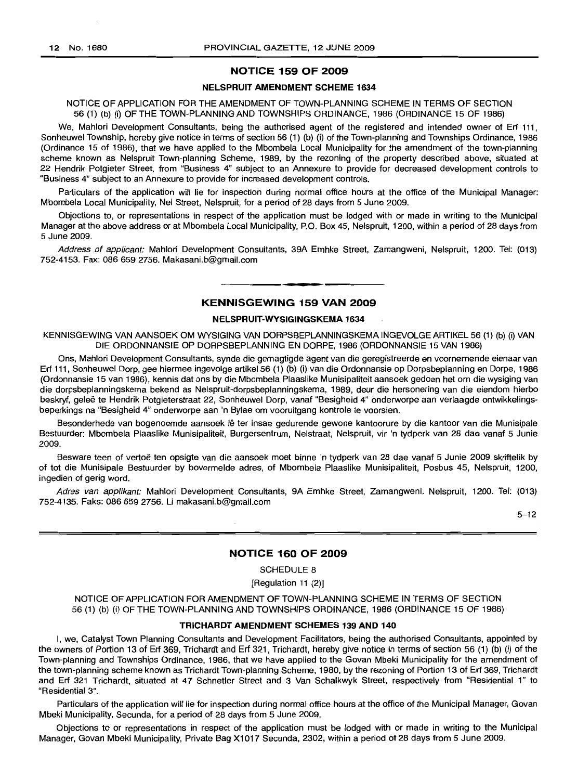## **NOTICE 159 OF 2009**

## **NELSPRUIT AMENDMENT SCHEME 1634**

NOTICE OF APPLICATION FOR THE AMENDMENT OF TOWN-PLANNING SCHEME IN TERMS OF SECTION 56 (1) (b) (i) OF THE TOWN-PLANNING AND TOWNSHIPS ORDINANCE, 1986 (ORDINANCE 15 OF 1986)

We, Mahlori Development Consultants, being the authorised agent of the registered and intended owner of Erf 111, Sonheuwel Township, hereby give notice in terms of section 56 (1) (b) (i) of the Town-planning and Townships Ordinance, 1986 (Ordinance 15 of 1986), that we have applied to the Mbombela Local Municipality for the amendment of the town-planning scheme known as Nelspruit Town-planning Scheme, 1989, by the rezoning of the property described above, situated at 22 Hendrik Potgieter Street, from "Business 4" subject to an Annexure to provide for decreased development controls to "Business 4" subject to an Annexure to provide for increased development controls.

Particulars of the application will lie for inspection during normal office hours at the office of the Municipal Manager: Mbombela Local Municipality, Nel Street, Nelspruit, for a period of 28 days from 5 June 2009.

Objections to, or representations in respect of the application must be lodged with or made in writing to the Municipal Manager at the above address or at Mbombela Local Municipality, P.O. Box 45, Nelspruit, 1200, within a period of 28 days from 5 June 2009.

Address of applicant: Mahlori Development Consultants, 39A Emhke Street, Zamangweni, Nelspruit, 1200. Tel: (013) 752-4153. Fax: 086 659 2756. Makasani.b@gmail.com

## **KENNISGEWING 159 VAN 2009**

**• •**

## **NELSPRUIT-WYSIGINGSKEMA 1634**

KENNISGEWING VAN AANSOEK OM WYSIGING VAN DORPSBEPLANNINGSKEMA INGEVOLGE ARTIKEL 56 (1) (b) (i) VAN DIE ORDONNANSIE OP DORPSBEPLANNING EN DORPE, 1986 (ORDONNANSIE 15 VAN 1986)

Ons, Mahlori Development Consultants, synde die gemagtigde agent van die geregistreerde en voornemende eienaar van Erf 111, Sonheuwel Dorp, gee hiermee ingevolge artikel 56 (1) (b) (i) van die Ordonnansie op Dorpsbeplanning en Dorpe, 1986 (Ordonnansie 15 van 1986), kennis dat ons by die Mbombela Plaaslike Munisipaliteit aansoek gedoen het om die wysiging van die dorpsbeplanningskema bekend as Nelspruit-dorpsbeplanningskema, 1989, deur die hersonering van die eiendom hierbo beskryf, gelee te Hendrik Potgieterstraat 22, Sonheuwel Dorp, vanaf "Besigheid 4" onderworpe aan verlaagde ontwikkelingsbeperkings na "Besigheid 4" onderworpe aan 'n Bylae om vooruitgang kontrole te voorsien.

Besonderhede van bogenoemde aansoek lê ter insae gedurende gewone kantoorure by die kantoor van die Munisipale Bestuurder: Mbombela Plaaslike Munisipaliteit, Burgersentrum, Nelstraat, Nelspruit, vir 'n tydperk van 28 dae vanaf 5 Junie 2009.

Besware teen of vertoë ten opsigte van die aansoek moet binne 'n tydperk van 28 dae vanaf 5 Junie 2009 skriftelik by of tot die Munisipale Bestuurder by bovermelde adres, of Mbombela Plaaslike Munisipaliteit, Posbus 45, Nelspruit, 1200, ingedien of gerig word.

Adres van applikant: Mahlori Development Consultants, 9A Emhke Street, Zamangweni, Nelspruit, 1200. Tel: (013) 752-4135. Faks: 086 659 2756. Li makasani.b@gmail.com

5-12

## **NOTICE 160 OF 2009**

SCHEDULE 8

[Regulation 11 (2)]

NOTICE OF APPLICATION FOR AMENDMENT OF TOWN-PLANNING SCHEME IN TERMS OF SECTION 56 (1) (b) (i) OF THE TOWN-PLANNING AND TOWNSHIPS ORDINANCE, 1986 (ORDINANCE 15 OF 1986)

### **TRICHARDT AMENDMENT SCHEMES 139 AND 140**

I, we, Catalyst Town Planning Consultants and Development Facilitators, being the authorised Consultants, appointed by the owners of Portion 13 of Erf 369, Trichardt and Erf 321, Trichardt, hereby give notice in terms of section 56 (1) (b) (i) of the Town-planning and Townships Ordinance, 1986, that we have applied to the Govan Mbeki Municipality for the amendment of the town-planning scheme known as Trichardt Town-planning Scheme, 1980, by the rezoning of Portion 13 of Erf 369, Trichardt and Erf 321 Trichardt, situated at 47 Schnetler Street and 3 Van Schalkwyk Street, respectively from "Residential 1" to "Residential 3",

Particulars of the application will lie for inspection during normal office hours at the office of the Municipal Manager, Govan Mbeki Municipality, Secunda, for a period of 28 days from 5 June 2009.

Objections to or representations in respect of the application must be lodged with or made in writing to the Municipal Manager, Govan Mbeki Municipality, Private Bag X1017 Secunda, 2302, within a period of 28 days from 5 June 2009.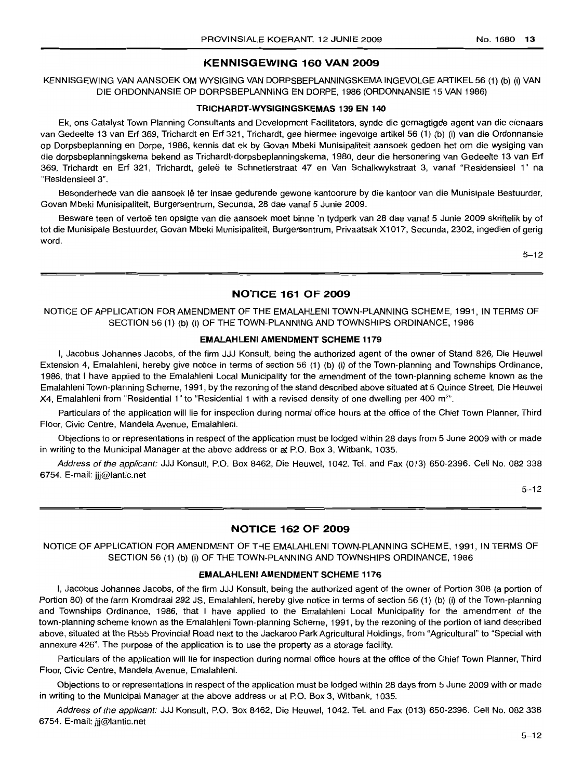## **KENNISGEWING 160 VAN 2009**

KENNISGEWING VAN AANSOEK OM WYSIGING VAN DORPSBEPLANNINGSKEMA INGEVOLGE ARTIKEL 56 (1) (b) (i) VAN DIE ORDONNANSIE OP DORPSBEPLANNING EN DORPE, 1986 (ORDONNANSIE 15 VAN 1986)

## **TRICHARDT-WYSIGINGSKEMAS 139 EN 140**

Ek, ons Catalyst Town Planning Consultants and Development Facilitators, synde die gemagtigde agent van die eienaars van Gedeelte 13 van Erf 369, Trichardt en Erf 321, Trichardt, gee hiermee ingevolge artikel 56 (1) (b) (i) van die Ordonnansie op Dorpsbeplanning en Dorpe, 1986, kennis dat ek by Govan Mbeki Munisipaliteit aansoek gedoen het om die wysiging van die dorpsbeplanningskema bekend as Trichardt-dorpsbeplanningskema, 1980, deur die hersonering van Gedeelte 13 van Erf 369, Trichardt en Elf 321, Trichardt, qelee te Schnetlerstraat 47 en Van Schalkwykstraat 3, vanaf "Residensieel 1" na "Residensieel 3".

Besonderhede van die aansoek lê ter insae gedurende gewone kantoorure by die kantoor van die Munisipale Bestuurder, Govan Mbeki Munisipaliteit, Burgersentrum, Secunda, 28 dae vanaf 5 Junie 2009.

Besware teen of vertoë ten opsigte van die aansoek moet binne 'n tydperk van 28 dae vanaf 5 Junie 2009 skriftelik by of tot die Munisipale Bestuurder, Govan Mbeki Munisipaliteit, Burgersentrum, Privaatsak Xl 017, Secunda, 2302, ingedien of gerig word.

5-12

## **NOTICE 161 OF 2009**

NOTICE OF APPLICATION FOR AMENDMENT OF THE EMALAHLENI TOWN-PLANNING SCHEME, 1991, IN TERMS OF SECTION 56 (1) (b) (i) OF THE TOWN-PLANNING AND TOWNSHIPS ORDINANCE, 1986

## **EMALAHLENI AMENDMENT SCHEME 1179**

I, Jacobus Johannes Jacobs, of the firm JJJ Konsult, being the authorized agent of the owner of Stand 826, Die Heuwel Extension 4, Emalahleni, hereby give notice in terms of section 56 (1) (b) (i) of the Town-planning and Townships Ordinance, 1986, that I have applied to the Emalahleni Local Municipality for the amendment of the town-planning scheme known as the Emalahleni Town-planning Scheme, 1991, by the rezoning of the stand described above situated at 5 Quince Street, Die Heuwel X4, Emalahleni from "Residential 1" to "Residential 1 with a revised density of one dwelling per 400 m<sup>2</sup>".

Particulars of the application will lie for inspection during normal office hours at the office of the Chief Town Planner, Third Floor, Civic Centre, Mandela Avenue, Emalahleni.

Objections to or representations in respect of the application must be lodged within 28 days from 5 June 2009 with or made in writing to the Municipal Manager at the above address or at P.O. Box 3, Witbank, 1035.

Address of the applicant: JJJ Konsult, P.O. Box 8462, Die Heuwel, 1042. Tel. and Fax (013) 650-2396. Cell No. 082 338 6754. E-mail: jjj@lantic.net

 $5 - 12$ 

## **NOTICE 162 OF 2009**

NOTICE OF APPLICATION FOR AMENDMENT OF THE EMALAHLENI TOWN-PLANNING SCHEME, 1991, IN TERMS OF SECTION 56 (1) (b) (i) OF THE TOWN-PLANNING AND TOWNSHIPS ORDINANCE, 1986

#### **EMALAHLENI AMENDMENT SCHEME 1176**

I, Jacobus Johannes Jacobs, of the firm JJJ Konsult, being the authorized agent of the owner of Portion 308 (a portion of Portion 80) of the farm Kromdraai 292 JS, Emalahleni, hereby give notice in terms of section 56 (1) (b) (i) of the Town-planning and Townships Ordinance, 1986, that I have applied to the Emalahleni Local Municipality for the amendment of the town-planning scheme known as the Emalahleni Town-planning Scheme, 1991, by the rezoning of the portion of land described above, situated at the R555 Provincial Road next to the Jackaroo Park Agricultural Holdings, from "Agricultural" to "Special with annexure 426". The purpose of the application is to use the property as a storage facility.

Particulars of the application will lie for inspection during normal office hours at the office of the Chief Town Planner, Third Floor, Civic Centre, Mandela Avenue, Emalahleni.

Objections to or representations in respect of the application must be lodged within 28 days from 5 June 2009 with or made in writing to the Municipal Manager at the above address or at P.O. Box 3, Witbank, 1035.

Address of the applicant: JJJ Konsult, P.O. Box 8462, Die Heuwel, 1042. Tel. and Fax (013) 650-2396. Cell No. 082 338 6754. E-mail: jjj@lantic.net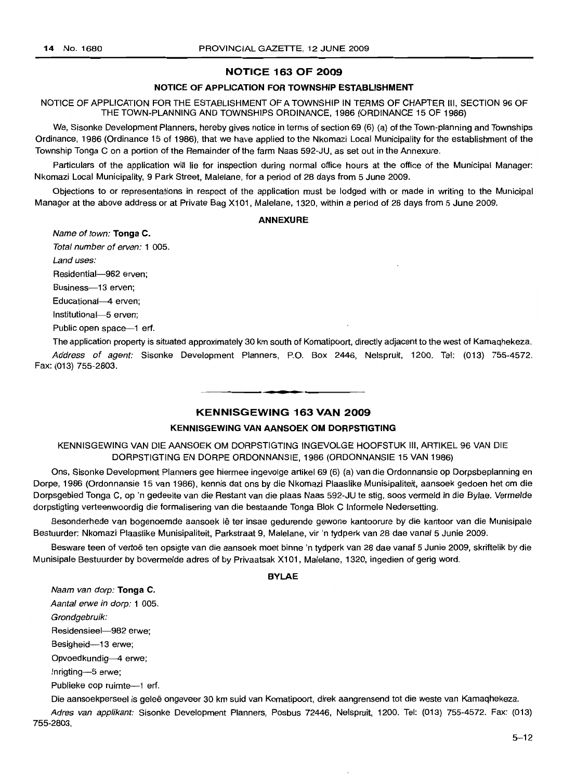## **NOTICE 163 OF 2009**

## **NOTICE OF APPLICATION FOR TOWNSHIP ESTABLISHMENT**

NOTICE OF APPLICATION FOR THE ESTABLISHMENT OF A TOWNSHIP IN TERMS OF CHAPTER III, SECTION 96 OF THE TOWN-PLANNING AND TOWNSHIPS ORDINANCE, 1986 (ORDINANCE 15 OF 1986)

We, Sisonke Development Planners, hereby gives notice in terms of section 69 (6) (a) of the Town-planning and Townships Ordinance, 1986 (Ordinance 15 of 1986), that we have applied to the Nkomazi Local Municipality for the establishment of the Township Tonga C on a portion of the Remainder of the farm Naas 592-JU, as set out in the Annexure.

Particulars of the application will lie for inspection during normal office hours at the office of the Municipal Manager: Nkomazi Local Municipality, 9 Park Street, Malelane, for a period of 28 days from 5 June 2009.

Objections to or representations in respect of the application must be lodged with or made in writing to the Municipal Manager at the above address or at Private Bag X101, Malelane, 1320, within a period of 28 days from 5 June 2009.

#### **ANNEXURE**

Name of town: **Tonga** C.

Total number of erven: 1 005.

Land uses:

Residential-982 erven:

Business-13 erven;

Educational-4 erven;

Institutional-5 erven;

Public open space--1 erf.

The application property is situated approximately 30 km south of Komatipoort, directly adjacent to the west of Kamaqhekeza. Address of agent: Sisonke Development Planners, P.O. Box 2446, Nelspruit, 1200. Tel: (013) 755-4572. Fax: (013) 755-2803.

## **KENNISGEWING 163 VAN 2009**

• **••**

## **KENNISGEWING VAN AANSOEK OM DORPSTIGTING**

KENNISGEWING VAN DIE AANSOEK OM DORPSTIGTING INGEVOLGE HOOFSTUK III, ARTIKEL 96 VAN DIE DORPSTIGTING EN DORPE ORDONNANSIE, 1986 (ORDONNANSIE 15 VAN 1986)

Ons, Sisonke Development Planners gee hiermee ingevolge artikel 69 (6) (a) van die Ordonnansie op Dorpsbeplanning en Dorpe, 1986 (Ordonnansie 15 van 1986), kennis dat ons by die Nkomazi Plaaslike Munisipaliteit, aansoek gedoen het om die Dorpsgebied Tonga C, op 'n gedeelte van die Restant van die plaas Naas 592-JU te stig, soos verme/d in die Bylae. Vermelde dorpstigting verteenwoordig die formalisering van die bestaande Tonga Blok C Informele Nedersetting.

Besonderhede van bogenoemde aansoek lê ter insae gedurende gewone kantoorure by die kantoor van die Munisipale Bestuurder: Nkomazi Plaaslike Munisipaliteit, Parkstraat 9, Malelane, vir 'n tydperk van 28 dae vanaf 5 Junie 2009.

Besware teen of vertoë ten opsigte van die aansoek moet binne 'n tydperk van 28 dae vanaf 5 Junie 2009, skriftelik by die Munisipale Bestuurder by bovermelde adres of by Privaatsak X101, Malelane, 1320, ingedien of gerig word.

#### **BYLAE**

Naam van dorp: **Tonga** C.

Aantal erwe in dorp: 1 005.

Grondgebruik:

Residensieel-982 erwe;

Besigheid-13 erwe;

Opvoedkundig-4 erwe;

Inrigting-5 erwe;

Publieke oop ruimte--1 erf.

Die aansoekperseel is gelee ongeveer 30 km suid van Komatipoort, direk aangrensend tot die weste van Kamaqhekeza. Adres van applikant: Sisonke Development Planners, Posbus 72446, Nelspruit, 1200. Tel: (013) 755-4572. Fax: (013) 755-2803.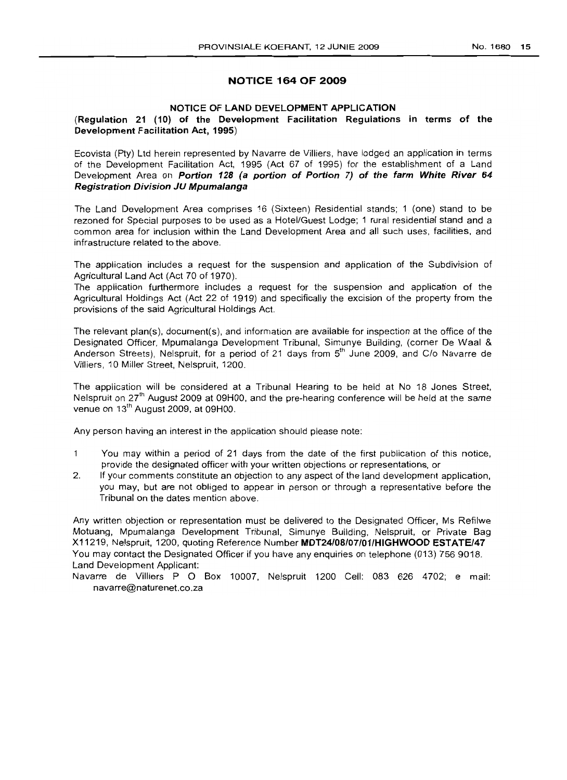### NOTICE 164 OF 2009

### NOTICE OF LAND DEVELOPMENT APPLICATION

## (Regulation 21 (10) of the Development Facilitation Regulations in terms of the Development Facilitation Act, 1995)

Ecovista (Pty) Ltd herein represented by Navarre de Villiers, have lodged an application in terms of the Development Facilitation Act, 1995 (Act 67 of 1995) for the establishment of a Land Development Area on Portion 128 (a portion of Portion 7) of the farm White River 64 Registration Division JU Mpumalanga

The Land Development Area comprises 16 (Sixteen) Residential stands; 1 (one) stand to be rezoned for Special purposes to be used as a Hotel/Guest Lodge; 1 rural residential stand and a common area for inclusion within the Land Development Area and all such uses, facilities, and infrastructure related to the above.

The application includes a request for the suspension and application of the Subdivision of Agricultural Land Act (Act 70 of 1970).

The application furthermore includes a request for the suspension and application of the Agricultural Holdings Act (Act 22 of 1919) and specifically the excision of the property from the provisions of the said Agricultural Holdings Act.

The relevant plan(s), document(s), and information are available for inspection at the office of the Designated Officer, Mpumalanga Development Tribunal, Simunye Building. (corner De Waal & Anderson Streets). Nelspruit, for a period of 21 days from s" June 2009. and C/o Navarre de Villiers, 10 Miller Street, Nelspruit. 1200.

The application will be considered at a Tribunal Hearing to be held at No 18 Jones Street, Nelspruit on 27<sup>th</sup> August 2009 at 09H00, and the pre-hearing conference will be held at the same venue on 13<sup>th</sup> August 2009, at 09H00.

Any person having an interest in the application should please note:

- $\mathbf{1}$ You may within a period of 21 days from the date of the first publication of this notice. provide the designated officer with your written objections or representations, or
- 2. If your comments constitute an objection to any aspect of the land development application, you may, but are not obliged to appear in person or through a representative before the Tribunal on the dates mention above.

Any written objection or representation must be delivered to the Designated Officer, Ms Refilwe Motuang, Mpumalanga Development Tribunal, Simunye Building, Nelspruit, or Private Bag X11219, Nelspruit, 1200, quoting Reference Number MDT24/08/07/01/HIGHWOOD ESTATE/47 You may contact the Designated Officer if you have any enquiries on telephone (013) 756 9018. Land Development Applicant:

Navarre de Villiers P O Box 10007, Nelspruit 1200 Cell: 083 626 4702; e mail: navarre@naturenet.co.za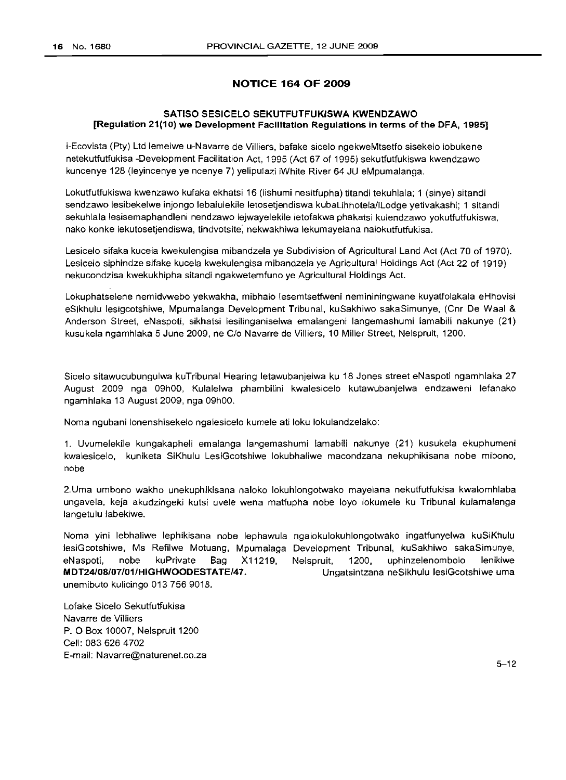## **NOTICE 164 OF 2009**

## **SATISO SESICELO SEKUTFUTFUKISWA KWENDZAWO [Regulation 21(10) we Development Facilitation Regulations in terms of the DFA, 1995]**

i-Ecovista (Pty) Ltd lemelwe u-Navarre de Villiers, bafake sicelo ngekweMtsetfo sisekelo lobukene netekutfutfukisa -Development Facilitation Act, 1995 (Act 67 of 1995) sekutfutfukiswa kwendzawo kuncenye 128 (Ieyincenye ye ncenye 7) yelipulazi iWhite River 64 JU eMpumalanga.

Lokutfutfukiswa kwenzawo kufaka ekhatsi 16 (Iishumi nesitfupha) titandi tekuhlala; 1 (sinye) sitandi sendzawo lesibekelwe injongo lebalulekile letosetjendiswa kubaLihhotela/iLodge yetivakashi; 1 sitandi sekuhlala lesisemaphandleni nendzawo lejwayelekile letofakwa phakatsi kulendzawo yokutfutfukiswa, nako konke lekutosetjendiswa, tindvotsite, nekwakhiwa lekumayelana nalokutfutfukisa.

Lesicelo sifaka kucela kwekulengisa mibandzela ye Subdivision of Agricultural Land Act (Act 70 of 1970). Lesicelo siphindze sifake kucela kwekulengisa mibandzela ye Agricultural Holdings Act (Act 22 of 1919) nekucondzisa kwekukhipha sitandi ngakwetemfuno ye Agricultural Holdings Act.

Lokuphatselene nemidvwebo yekwakha, mibhalo lesemtsetfweni nemininingwane kuyatfolakala eHhovisi eSikhulu lesigcotshiwe, Mpumalanga Development Tribunal, kuSakhiwo sakaSimunye, (Cnr De Waal & Anderson Street, eNaspoti, sikhatsi lesilinganiselwa emalangeni langemashumi lamabili nakunye (21) kusukela ngamhlaka 5 June 2009, ne C/o Navarre de Villiers, 10 Miller Street, Nelspruit, 1200.

Sicelo sitawucubungulwa kuTribunal Hearing letawubanjelwa ku 18 Jones street eNaspoti ngamhlaka 27 August 2009 nga 09hOO, Kulalelwa phambilini kwalesicelo kutawubanjelwa endzaweni lefanako ngamhlaka 13 August 2009, nga 09hOO.

Noma ngubani lonenshisekelo ngalesicelo kumele ati loku lokulandzelako:

1. Uvumelekile kungakapheli emalanga langemashumi lamabili nakunye (21) kusukela ekuphumeni kwalesicelo, kuniketa SiKhulu LesiGcotshiwe lokubhaliwe macondzana nekuphikisana nobe mibono, nobe

2.Uma umbono wakho unekuphikisana naloko lokuhlongotwako mayelana nekutfutfukisa kwalomhlaba ungavela, keja akudzingeki kutsi uvele wena matfupha nobe loyo lokumele ku Tribunal kulamalanga langetulu labekiwe.

Noma yini lebhaliwe lephikisana nobe lephawula ngalokulokuhlongotwako ingatfunyelwa kuSiKhulu lesiGcotshiwe, Ms Refilwe Motuang, Mpumalaga Development Tribunal, kuSakhiwo sakaSimunye, eNaspoti, nobe kuPrivate Bag X11219, **MDT24/0S/07/01/HIGHWOODESTATE/47.** unemibuto kulicingo 013 756 9018. Nelspruit, 1200, uphinzelenombolo lenikiwe Ungatsintzana neSikhulu lesiGcotshiwe uma

Lofake Sicelo Sekutfutfukisa Navarre de Villiers P. 0 Box 10007, Nelspruit 1200 Cell: 083 626 4702 E-mail: Navarre@natureneLco.za

5-12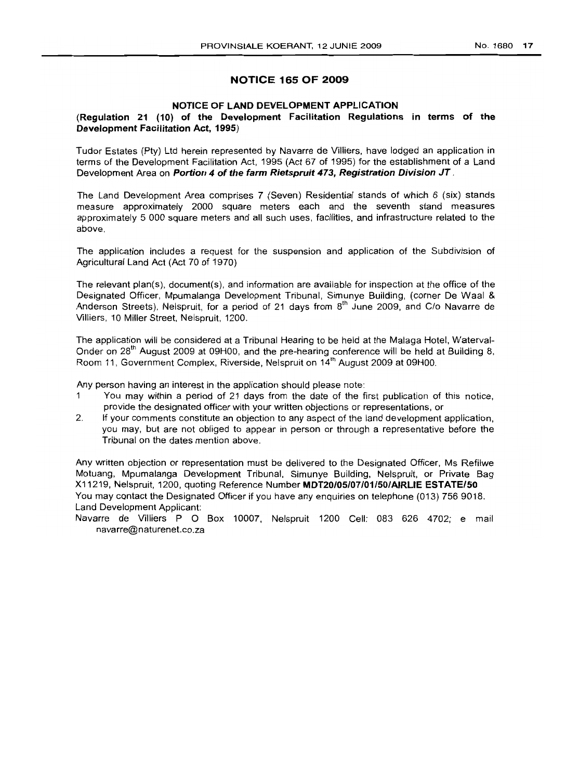## **NOTICE 165 OF 2009**

## **NOTICE OF LAND DEVELOPMENT APPLICATION**

## **(Regulation 21 (10) of the Development Facilitation Regulations in terms of the Development Facilitation Act, 1995)**

Tudor Estates (Pty) Ltd herein represented by Navarre de Villiers, have lodged an application in terms of the Development Facilitation Act, 1995 (Act 67 of 1995) for the establishment of a Land Development Area on **Portion 4 of the farm Rietspruit 473, Registration Division JT .**

The Land Development Area comprises 7 (Seven) Residential stands of which 6 (six) stands measure approximately 2000 square meters each and the seventh stand measures approximately 5 000 square meters and all such uses, facilities, and infrastructure related to the above.

The application includes a request for the suspension and application of the Subdivision of Agricultural Land Act (Act 70 of 1970)

The relevant plan(s), document(s), and information are available for inspection at the office of the Designated Officer, Mpumalanga Development Tribunal, Simunye Building, (corner De Waal & Anderson Streets), Nelspruit, for a period of 21 days from 8<sup>th</sup> June 2009, and C/o Navarre de Villiers, 10 Miller Street, Nelspruit, 1200.

The application will be considered at a Tribunal Hearing to be held at the Malaga Hotel, Waterval-Onder on 28<sup>th</sup> August 2009 at 09H00, and the pre-hearing conference will be held at Building 8, Room 11, Government Complex, Riverside, Nelspruit on 14<sup>th</sup> August 2009 at 09H00.

Any person having an interest in the application should please note:

- 1 You may within a period of 21 days from the date of the first publication of this notice, provide the designated officer with your written objections or representations, or
- 2. If your comments constitute an objection to any aspect of the land development application, you may, but are not obliged to appear in person or through a representative before the Tribunal on the dates mention above.

Any written objection or representation must be delivered to the Designated Officer, Ms Refilwe Motuang, Mpumalanga Development Tribunal, Simunye Building, Nelspruit, or Private Bag X11219, Nelspruit, 1200, quoting Reference Number **MDT20/05/07/01/50/AIRLIE ESTATE/50** You may contact the Designated Officer if you have any enquiries on telephone (013) 756 9018. Land Development Applicant:

Navarre de Villiers P O Box 10007, Nelspruit 1200 Cell: 083 626 4702; e mail navarre@naturenet.co.za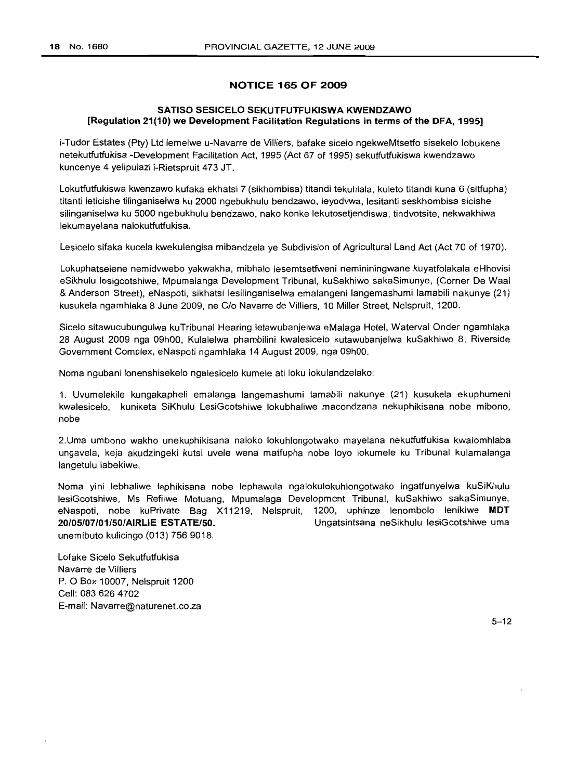## **NOTICE 165 OF 2009**

## **SATISO SESICELO SEKUTFUTFLlKISWA KWENDZAWO [Regulation 21(10) we Development Facilitation Regulations in terms of the DFA, 1995]**

i-Tudor Estates (Pty) Ltd lemelwe u-Navarre de Villiers, bafake sicelo ngekweMtsetfo sisekelo lobukene netekutfutfukisa -Development Facilitation Act, 1995 (Act 67 of 1995) sekutfutfukiswa kwendzawo kuncenye 4 yelipulazi i-Rietspruit 473 JT.

Lokutfutfukiswa kwenzawo kufaka ekhatsi 7 (sikhombisa) titandi tekuhlala, kuleto titandi kuna 6 (sitfupha) titanti leticishe tilinganiselwa ku 2000 ngebukhulu bendzawo, leyodvwa, lesitanti seskhombisa sicishe silinganiselwa ku 5000 ngebukhulu bendzawo, nako konke lekutosetjendiswa, tindvotsite, nekwakhiwa lekumayelana nalokutfutfukisa.

Lesicelo sifaka kucela kwekulengisa mibandzela ye Subdivision of Agricultural Land Act (Act 70 of 1970).

Lokuphatselene nemidvwebo yekwakha, mibhalo lesemtsetfweni nemininingwane kuyatfolakala eHhovisi eSikhulu lesigcotshiwe, Mpumalanga Development Tribunal, kuSakhiwo sakaSimunye, (Corner De Waal & Anderson Street), eNaspoti, sikhatsi lesilinganiselwa emalangeni langemashumi lamabili nakunye (21) kusukela ngamhlaka 8 June 2009, ne C/o Navarre de Villiers, 10 Miller Street, Nelspruit, 1200.

Sicelo sitawucubungulwa kuTribunal Hearing letawubanjelwa eMalaga Hotel, Waterval Onder ngamhlaka 28 August 2009 nga 09hOO, Kulalelwa phambilini kwalesicelo kutawubanjelwa kuSakhiwo 8, Riverside Government Complex, eNaspoti ngamhlaka 14 August 2009, nga 09hOO.

Noma ngubani lonenshisekelo ngalesicelo kumele ati loku lokulandzelako:

1. Uvumelekile kungakapheli emalanga langemashumi lamabili nakunye (21) kusukela ekuphumeni kwalesicelo, kuniketa SiKhulu LesiGcotshiwe lokubhaliwe macondzana nekuphikisana nobe mibono, nobe

2.Uma umbono wakho unekuphikisana naloko lokuhlongotwako mayelana nekutfutfukisa kwalomhlaba ungavela, keja akudzingeki kutsi uvele wena matfupha nobe loyo lokumele ku Tribunal kulamalanga langetulu labekiwe.

Noma yini lebhaliwe lephikisana nobe lephawula ngalokulokuhlongotwako ingatfunyelwa kuSiKhulu lesiGcotshiwe, Ms Refilwe Motuang, Mpumalaga Development Tribunal, kuSakhiwo sakaSimunye, eNaspoti, nobe kuPrivate Bag X11219, Nelspruit, 1200, uphinze lenombolo lenikiwe **MDT 20/05/07/01150/AIRLIE ESTATE/50.** Ungatsintsana neSikhulu lesiGcotshiwe uma unemibuto kulicingo (013) 756 9018.

Lofake Sicelo Sekutfutfukisa Navarre de Villiers P. 0 Box 10007, Nelspruit 1200 Cell: 0836264702 E-mail: Navarre@naturenet.co.za

 $5 - 12$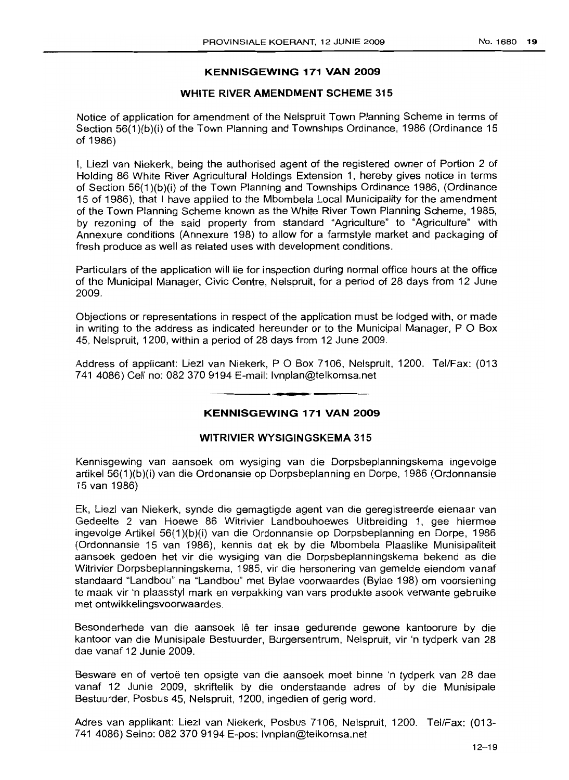## **KENNISGEWING 171 VAN 2009**

## **WHITE RIVER AMENDMENT SCHEME 315**

Notice of application for amendment of the Nelspruit Town Planning Scheme in terms of Section 56(1)(b)(i) of the Town Planning and Townships Ordinance, 1986 (Ordinance 15 of 1986)

I, Liezl van Niekerk, being the authorised agent of the registered owner of Portion 2 of Holding 86 White River Agricultural Holdings Extension 1, hereby gives notice in terms of Section 56(1 )(b)(i) of the Town Planning and Townships Ordinance 1986, (Ordinance 15 of 1986), that I have applied to the Mbombela Local Municipality for the amendment of the Town Planning Scheme known as the White River Town Planning Scheme, 1985, by rezoning of the said property from standard "Agriculture" to "Agriculture" with Annexure conditions (Annexure 198) to allow for a farm style market and packaging of fresh produce as well as related uses with development conditions.

Particulars of the application will lie for inspection during normal office hours at the office of the Municipal Manager, Civic Centre, Nelspruit, for a period of 28 days from 12 June 2009.

Objections or representations in respect of the application must be lodged with, or made in writing to the address as indicated hereunder or to the Municipal Manager,  $P \nO Box$ 45, Nelspruit, 1200, within a period of 28 days from 12 June 2009.

Address of applicant: Liezl van Niekerk, P O Box 7106, Nelspruit, 1200. Tel/Fax: (013 741 4086) Cell no: 0823709194 E-mail: Ivnplan@telkomsa.net

**• •**

## **KENNISGEWING 171 VAN 2009**

## **WITRIVIER WYSIGINGSKEMA 315**

Kennisgewing van aansoek om wysiging van die Dorpsbeplanningskema ingevolge artikel 56(1 )(b)(i) van die Ordonansie op Dorpsbeplanning en Dorpe, 1986 (Ordonnansie 15 van 1986)

Ek, Liezl van Niekerk, synde die gemagtigde agent van die geregistreerde eienaar van Gedeelte 2 van Hoewe 86 Witrivier Landbouhoewes Uitbreiding 1, gee hiermee ingevofge Artikel 56(1 )(b)(i) van die Ordonnansie op Dorpsbeplanning en Dorpe, 1986 (Ordonnansie 15 van 1986), kennis dat ek by die Mbombela Plaaslike Munisipaliteit aansoek gedoen het vir die wysiging van die Dorpsbeplanningskema bekend as die Witrivier Dorpsbeplanningskema, 1985, vir die hersonering van gemelde eiendom vanaf standaard "Landbou" na "Landbou" met Bylae voorwaardes (Bylae 198) om voorsiening te maak vir 'n plaasstyl mark en verpakking van vars produkte asook verwante gebruike met ontwikkelingsvoorwaardes.

Besonderhede van die aansoek Ie ter insae gedurende gewone kantoorure by die kantoor van die Munisipale Bestuurder, Burgersentrum, Nelspruit, vir 'n tydperk van 28 dae vanaf 12 Junie 2009.

Besware en of vertoë ten opsigte van die aansoek moet binne 'n tydperk van 28 dae vanaf 12 Junie 2009, skriftelik by die onderstaande adres of by die Munisipale Bestuurder, Posbus 45, Nelspruit, 1200, ingedien of gerig word.

Adres van applikant: Liezl van Niekerk, Posbus 7106, Nelspruit, 1200. Tel/Fax: (013- 741 4086) Selno: 082 370 9194 E-pos: Ivnplan@telkomsa.net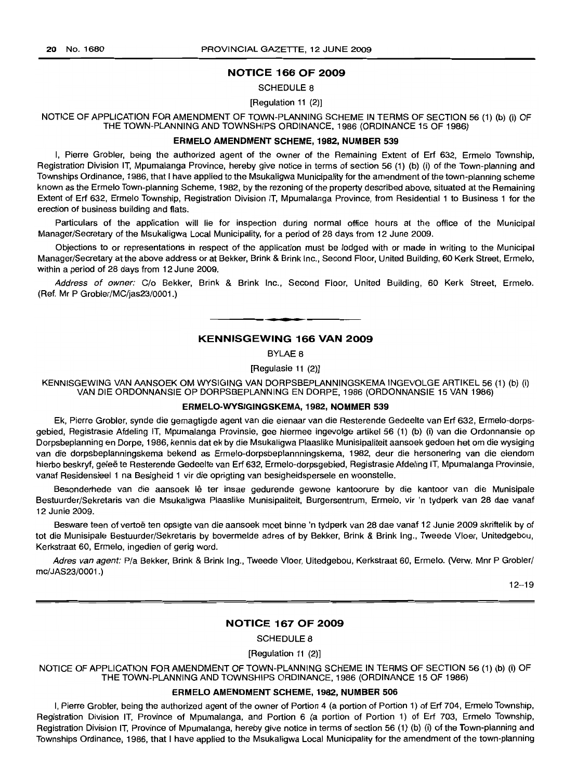#### NOTICE 166 OF 2009

#### SCHEDULE 8

#### [Regulation 11 (2)]

NOTICE OF APPLICATION FOR AMENDMENT OF TOWN-PLANNING SCHEME IN TERMS OF SECTION 56 (1) (b) (i) OF THE TOWN-PLANNING AND TOWNSHIPS ORDINANCE, 1986 (ORDINANCE 15 OF 1986)

#### ERMELO AMENDMENT SCHEME, 1982, NUMBER 539

I, Pierre Grobler, being the authorized agent of the owner of the Remaining Extent of Erf 632, Ermelo Township, Registration Division IT, Mpumalanga Province, hereby give notice in terms of section 56 (1) (b) (i) of the Town-planning and Townships Ordinance, 1986, that I have applied to the Msukaligwa Municipality for the amendment of the town-planning scheme known as the Ermelo Town-planning Scheme, 1982, by the rezoning of the property described above, situated at the Remaining Extent of Erf 632, Ermelo Township, Registration Division IT, Mpumalanga Province, from Residential 1 to Business 1 for the erection of business building and flats.

Particulars of the application will lie for inspection during normal office hours at the office of the Municipal Manager/Secretary of the Msukaligwa Local Municipality, for a period of 28 days from 12 June 2009.

Objections to or representations in respect of the application must be lodged with or made in writing to the Municipal Manager/Secretary at the above address or at Bekker, Brink & Brink Inc., Second Floor, United Building, 60 Kerk Street, Ermelo, within a period of 28 days from 12 June 2009.

Address of owner: C/o Bekker, Brink & Brink Inc., Second Floor, United Building, 60 Kerk Street, Ermelo. (Ref. Mr P Grobler/MC/jas23/0001.)

## KENNISGEWING 166 VAN 2009

**I •**

BYLAE 8

[Regulasie 11 (2)]

KENNISGEWING VAN AANSOEK OM WYSIGING VAN DORPSBEPLANNINGSKEMA INGEVOLGE ARTIKEL 56 (1) (b) (i) VAN DIE ORDONNANSIE OP DORPSBEPLANNING EN DORPE, 1986 (ORDONNANSIE 15 VAN 1986)

## ERMELO·WYSIGINGSKEMA, 1982, NOMMER 539

Ek, Pierre Grobler, synde die gemagtigde agent van die eienaar van die Resterende Gedeelte van Erf 632, Ermelo-dorpsgebied, Registrasie Afdeling IT, Mpumalanga Provinsie, gee hiermee ingevolge artikel 56 (1) (b) (i) van die Ordonnansie op Dorpsbeplanning en Dorpe, 1986, kennis dat ek by die Msukaligwa Plaaslike Munisipaliteit aansoek gedoen het om die wysiging van die dorpsbeplanningskema bekend as Ermelo-dorpsbeplannningskema, 1982, deur die hersonering van die eiendom hierbo beskryf, geleë te Resterende Gedeelte van Erf 632, Ermelo-dorpsgebied, Registrasie Afdeling IT, Mpumalanga Provinsie, vanaf Residensieel 1 na Besigheid 1 vir die oprigting van besigheidspersele en woonstelle.

Besonderhede van die aansoek Iê ter insae gedurende gewone kantoorure by die kantoor van die Munisipale Bestuurder/Sekretaris van die Msukaligwa Plaaslike Munisipaliteit, Burgersentrum, Ermelo, vir 'n tydperk van 28 dae vanaf 12 Junie 2009.

Besware teen of vertoë ten opsigte van die aansoek moet binne 'n tydperk van 28 dae vanaf 12 Junie 2009 skriftelik by of tot die Munisipale Bestuurder/Sekretaris by bovermelde adres of by Bekker, Brink & Brink Ing., Tweede Vloer, Unitedgebou, Kerkstraat 60, Ermelo, ingedien of gerig word.

Adres van agent: P/a Bekker, Brink & Brink Ing., Tweede Vloer, Uitedgebou, Kerkstraat 60, Ermelo. (Verw. Mnr P Grobler/ mc/JAS23/0001.)

12-19

#### NOTICE 167 OF 2009

SCHEDULE 8

[Regulation 11 (2)]

NOTICE OF APPLICATION FOR AMENDMENT OF TOWN-PLANNING SCHEME IN TERMS OF SECTION 56 (1) (b) (i) OF THE TOWN-PLANNING AND TOWNSHIPS ORDINANCE, 1986 (ORDINANCE 15 OF 1986)

## ERMELO AMENDMENT SCHEME, 1982, NUMBER 506

I, Pierre Grobler, being the authorized agent of the owner of Portion 4 (a portion of Portion 1) of Erf 704, Ermelo Township, Registration Division IT, Province of Mpumalanga, and Portion 6 (a portion of Portion 1) of Erf 703, Ermelo Township, Registration Division IT, Province of Mpumalanga, hereby give notice in terms of section 56 (1) (b) (i) of the Town-planning and Townships Ordinance, 1986, that I have applied to the Msukaligwa Local Municipality for the amendment of the town-planning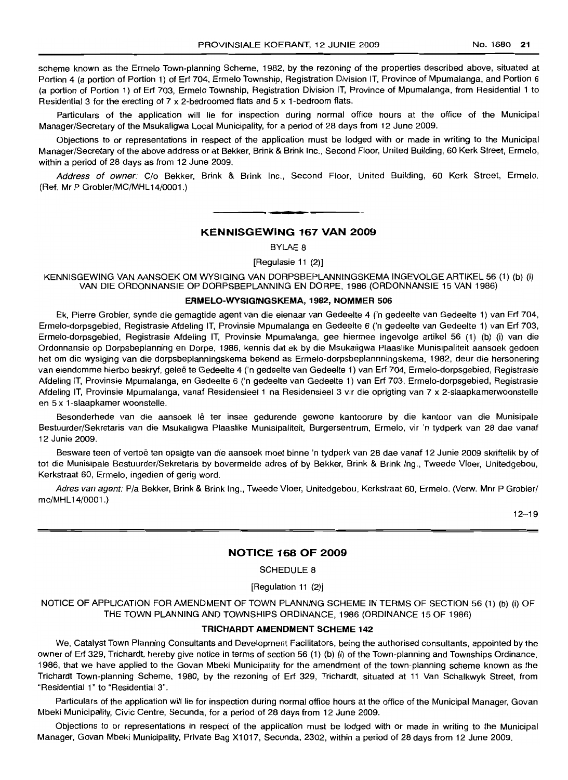scheme known as the Ermelo Town-planning Scheme, 1982, by the rezoning of the properties described above, situated at Portion 4 (a portion of Portion 1) of Erf 704, Ermelo Township, Registration Division IT, Province of Mpumalanga, and Portion 6 (a portion of Portion 1) of Erf 703, Ermelo Township, Registration Division IT, Province of Mpumalanga, from Residential 1 to Residential 3 for the erecting of 7 x 2-bedroomed flats and 5 x 1-bedroom flats.

Particulars of the application will lie for inspection during normal office hours at the office of the Municipal Manager/Secretary of the Msukaligwa Local Municipality, for a period of 28 days from 12 June 2009.

Objections to or representations in respect of the application must be lodged with or made in writing to the Municipal Manager/Secretary of the above address or at Bekker, Brink & Brink Inc., Second Floor, United Building, 60 Kerk Street, Ermelo, within a period of 28 days as from 12 June 2009.

Address of owner: C/o Bekker, Brink & Brink Inc., Second Floor, United Building, 60 Kerk Street, Ermelo. (Ref. Mr P Grobler/MC/MHL14/0001.)

#### **KENNISGEWING 167 VAN 2009**

**• •**

BYLAE 8

[Regulasie 11 (2)]

KENNISGEWING VAN AANSOEK OM WYSIGING VAN DORPSBEPLANNINGSKEMA INGEVOLGE ARTIKEL 56 (1) (b) (i) VAN DIE ORDONNANSIE OP DORPSBEPLANNING EN DORPE, 1986 (ORDONNANSIE 15 VAN 1986)

## **ERMELO-WYSIGINGSKEMA,** 1982, **NOMMER** 506

Ek, Pierre Grobler, synde die gemagtide agent van die eienaar van Gedeelte 4 ('n gedeelte van Gedeelte 1) van Erf 704, Ermelo-dorpsgebied, Registrasie Afdeling IT, Provinsie Mpumalanga en Gedeelte 6 ('n gedeelte van Gedeelte 1) van Erf 703, Ermelo-dorpsgebied, Registrasie Afdeling IT, Provinsie Mpumalanga, gee hiermee ingevolge artikel 56 (1) (b) (i) van die Ordonnansie op Dorpsbeplanning en Dorpe, 1986, kennis dat ek by die Msukaligwa Plaaslike Munisipaliteit aansoek gedoen het om die wysiging van die dorpsbeplanningskema bekend as Ermelo-dorpsbeplannningskema, 1982, deur die hersonering van eiendomme hierbo beskryf, geleë te Gedeelte 4 ('n gedeelte van Gedeelte 1) van Erf 704, Ermelo-dorpsgebied, Registrasie Afdeling IT, Provinsie Mpumalanga, en Gedeelte 6 ('n gedeelte van Gedeelte 1) van Erf 703, Ermelo-dorpsgebied, Registrasie Afdeling IT, Provinsie Mpumalanga, vanaf Residensieel 1 na Residensieel 3 vir die oprigting van 7 x 2-slaapkamerwoonstelle en 5 x 1-slaapkamer woonstelle.

Besonderhede van die aansoek lê ter insae gedurende gewone kantoorure by die kantoor van die Munisipale Bestuurder/Sekretaris van die Msukaligwa Plaaslike Munisipaliteit, Burgersentrum, Ermelo, vir 'n tydperk van 28 dae vanaf 12 Junie 2009.

Besware teen of vertoë ten opsigte van die aansoek moet binne 'n tydperk van 28 dae vanaf 12 Junie 2009 skriftelik by of tot die Munisipale Bestuurder/Sekretaris by bovermelde adres of by Bekker, Brink & Brink Ing., Tweede Vloer, Unitedgebou, Kerkstraat 60, Ermelo, ingedien of gerig word.

Adres van agent: P/a Bekker, Brink & Brink Ing., Tweede Vloer, Unitedgebou, Kerkstraat 60, Ermelo. (Verw. Mnr P Grobler/ mc/MHL14/0001.)

 $12 - 19$ 

## **NOTICE 168 OF 2009**

SCHEDULE 8

[Regulation 11 (2)]

NOTICE OF APPLICATION FOR AMENDMENT OF TOWN PLANNING SCHEME IN TERMS OF SECTION 56 (1) (b) (i) OF THE TOWN PLANNING AND TOWNSHIPS ORDINANCE, 1986 (ORDINANCE 15 OF 1986)

## **TRICHARDT AMENDMENT SCHEME** 142

We, Catalyst Town Planning Consultants and Development Facilitators, being the authorised consultants, appointed by the owner of Erf 329, Trichardt, hereby give notice in terms of section 56 (1) (b) (i) of the Town-planning and Townships Ordinance, 1986, that we have applied to the Govan Mbeki Municipality for the amendment of the town-planning scheme known as the Trichardt Town-planning Scheme, 1980, by the rezoning of Erf 329, Trichardt, situated at 11 Van Schalkwyk Street, from "Residential 1" to "Residential 3".

Particulars of the application will lie for inspection during normal office hours at the office of the Municipal Manager, Govan Mbeki Municipality, Civic Centre, Secunda, for a period of 28 days from 12 June 2009.

Objections to or representations in respect of the application must be lodged with or made in writing to the Municipal Manager, Govan Mbeki Municipality, Private Bag X1017, Secunda, 2302, within a period of 28 days from 12 June 2009.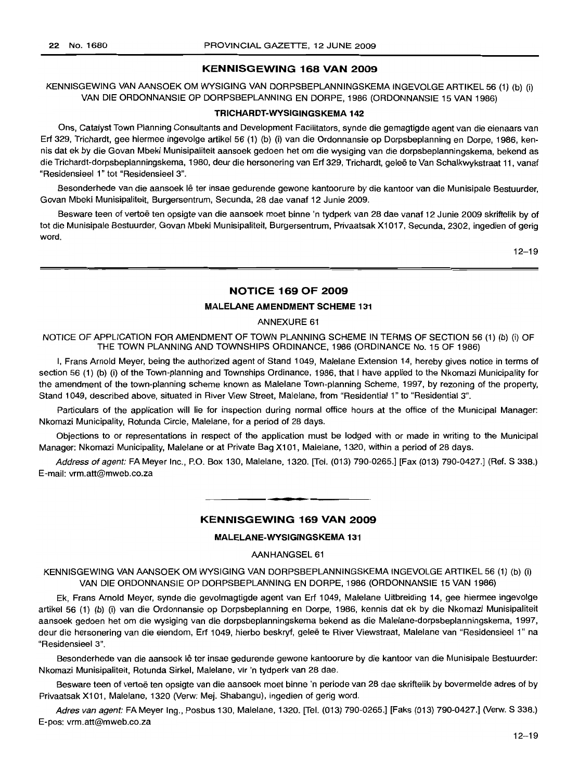## **KENNISGEWING 168 VAN 2009**

## KENNISGEWING VAN AANSOEK OM WYSIGING VAN DORPSBEPLANNINGSKEMA INGEVOLGE ARTIKEL 56 (1) (b) (i) VAN DIE ORDONNANSIE OP DORPSBEPLANNING EN DORPE, 1986 (ORDONNANSIE 15 VAN 1986)

#### **TRICHARDT-WYSIGINGSKEMA 142**

Ons, Catalyst Town Planning Consultants and Development Facilitators, synde die gemagtigde agent van die eienaars van Erf 329, Trichardt, gee hiermee ingevolge artikel 56 (1) (b) (i) van die Ordonnansie op Dorpsbeplanning en Dorpe, 1986, kennis dat ek by die Govan Mbeki Munisipaliteit aansoek gedoen het om die wysiging van die dorpsbeplanningskema, bekend as die Trichardt-dorpsbeplanningskema, 1980, deur die hersonering van Erf 329, Trichardt, gelee te Van Schalkwykstraat 11, vanaf "Residensieel 1" tot "Residensieel 3".

Besonderhede van die aansoek lê ter insae gedurende gewone kantoorure by die kantoor van die Munisipale Bestuurder, Govan Mbeki Munisipaliteit, Burgersentrum, Secunda, 28 dae vanaf 12 Junie 2009.

Besware teen of vertoë ten opsigte van die aansoek moet binne 'n tydperk van 28 dae vanaf 12 Junie 2009 skriftelik by of tot die Munisipale Bestuurder, Govan Mbeki Munisipaliteit, Burgersentrum, Privaatsak X1017, Secunda, 2302, ingedien of gerig word.

12-19

## **NOTICE 169 OF 2009**

## **MALELANE AMENDMENT SCHEME** 131

ANNEXURE 61

NOTICE OF APPLICATION FOR AMENDMENT OF TOWN PLANNING SCHEME IN TERMS OF SECTION 56 (1) (b) (i) OF THE TOWN PLANNING AND TOWNSHIPS ORDINANCE, 1986 (ORDINANCE No. 15 OF 1986)

I, Frans Arnold Meyer, being the authorized agent of Stand 1049, Malelane Extension 14, hereby gives notice in terms of section 56 (1) (b) (i) of the Town-planning and Townships Ordinance, 1986, that I have applied to the Nkomazi Municipality for the amendment of the town-planning scheme known as Malelane Town-planning Scheme, 1997, by rezoning of the property, Stand 1049, described above, situated in River View Street, Malelane, from "Residential 1" to "Residential 3".

Particulars of the application will lie for inspection during normal office hours at the office of the Municipal Manager: Nkomazi Municipality, Rotunda Circle, Malelane, for a period of 28 days.

Objections to or representations in respect of the application must be lodged with or made in writing to the Municipal Manager: Nkomazi Municipality, Malelane or at Private Bag X101, Malelane, 1320, within a period of 28 days.

Address of agent: FA Meyer Inc., P.O. Box 130, Malelane, 1320. [Tel. (013) 790-0265.] [Fax (013) 790-0427.] (Ref. S 338.) E-mail: vrm.att@mweb.co.za

## **KENNISGEWING 169 VAN 2009**

**- .**

## **MALELANE-WYSIGINGSKEMA 131**

AANHANGSEL 61

KENNISGEWING VAN AANSOEK OM WYSIGING VAN DORPSBEPLANNINGSKEMA INGEVOLGE ARTIKEL 56 (1) (b) (i) VAN DIE ORDONNANSIE OP DORPSBEPLANNING EN DORPE, 1986 (ORDONNANSIE 15 VAN 1986)

Ek, Frans Arnold Meyer, synde die gevolmagtigde agent van Erf 1049, Malelane Uitbreiding 14, gee hiermee ingevolge artikel 56 (1) (b) (i) van die Ordonnansie op Dorpsbeplanning en Dorpe, 1986, kennis dat ek by die Nkomazi Munisipaliteit aansoek gedoen het om die wysiging van die dorpsbeplanningskema bekend as die Malelane-dorpsbeplanningskema, 1997, deur die hersonering van die eiendom, Erf 1049, hierbo beskryf, geleë te River Viewstraat, Malelane van "Residensieel 1" na "ResidensieeI3".

Besonderhede van die aansoek lê ter insae gedurende gewone kantoorure by die kantoor van die Munisipale Bestuurder: Nkomazi Munisipaliteit, Rotunda Sirkel, Malelane, vir 'n tydperk van 28 dae.

Besware teen of vertoë ten opsigte van die aansoek moet binne 'n periode van 28 dae skriftelik by bovermelde adres of by Privaatsak X101, Malelane, 1320 (Verw: Mej. Shabangu), ingedien of gerig word.

Adres van agent: FA Meyer Ing., Posbus 130, Malelane, 1320. [Tel. (013) 790-0265.] [Faks (013) 790-0427.] (Verw. S 338.) E-pos: vrm.att@mweb.co.za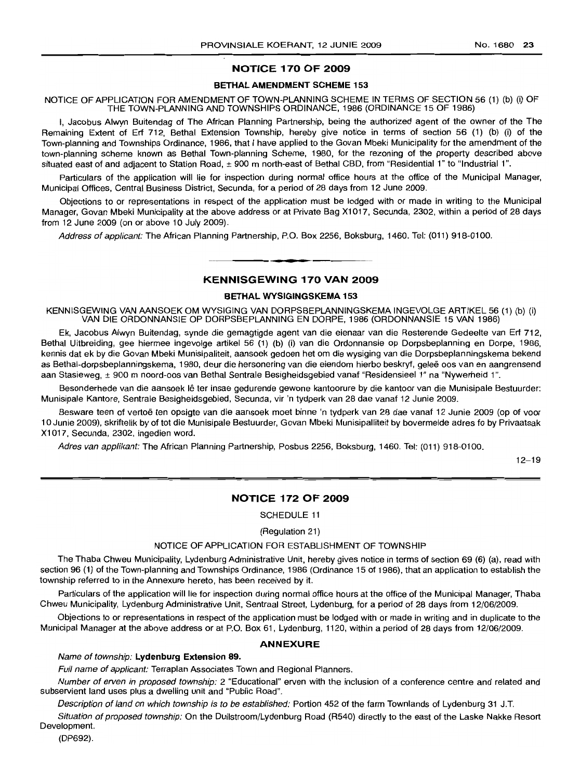## NOTICE 170 OF 2009

## BETHAL AMENDMENT SCHEME 153

NOTICE OF APPLICATION FOR AMENDMENT OF TOWN-PLANNING SCHEME IN TERMS OF SECTION 56 (1) (b) (i) OF THE TOWN-PLANNING AND TOWNSHIPS ORDINANCE, 1986 (ORDINANCE 15 OF 1986)

I, Jacobus Alwyn Buitendag of The African Planning Partnership, being the authorized agent of the owner of the The Remaining Extent of Erf 712, Bethal Extension Township, hereby give notice in terms of section 56 (1) (b) (i) of the Town-planning and Townships Ordinance, 1986, that I have applied to the Govan Mbeki Municipality for the amendment of the town-planning scheme known as Bethal Town-planning Scheme, 1980, for the rezoning of the property described above situated east of and adjacent to Station Road, ± 900 m north-east of Bethal CBD, from "Residential 1" to "Industrial 1".

Particulars of the application will lie for inspection during normal office hours at the office of the Municipal Manager, Municipal Offices, Central Business District, Secunda, for a period of 28 days from 12 June 2009.

Objections to or representations in respect of the application must be lodged with or made in writing to the Municipal Manager, Govan Mbeki Municipality at the above address or at Private Bag X1017, Secunda, 2302, within a period of 28 days from 12 June 2009 (on or above 10 July 2009).

Address of applicant: The African Planning Partnership, P.O. Box 2256, Boksburg, 1460. Tel: (011) 918-0100.

## KENNISGEWING 170 VAN 2009

**-.**

#### BETHAL WYSIGINGSKEMA 153

KENNISGEWING VAN AANSOEK OM WYSIGING VAN DORPSBEPLANNINGSKEMA INGEVOLGE ARTIKEL 56 (1) (b) (i) VAN DIE ORDONNANSIE OP DORPSBEPLANNING EN DORPE, 1986 (ORDONNANSIE 15 VAN 1986)

Ek, Jacobus Alwyn Buitendag, synde die gemagtigde agent van die eienaar van die Resterende Gedeelte van Ert 712, Bethal Uitbreiding, gee hiermee ingevolge artikel 56 (1) (b) (i) van die Ordonnansie op Dorpsbeplanning en Dorpe, 1986, kennis dat ek by die Govan Mbeki Munisipaliteit, aansoek gedoen het om die wysiging van die Dorpsbeplanningskema bekend as Bethal-dorpsbeplanningskema, 1980, deur die hersonering van die eiendom hierbo beskryf, gelee oos van en aangrensend aan Stasieweg, ± 900 m noord-oos van Bethal Sentrale Besigheidsgebied vanaf "Residensieel 1" na "Nywerheid 1".

Besonderhede van die aansoek lê ter insae gedurende gewone kantoorure by die kantoor van die Munisipale Bestuurder: Munisipale Kantore, Sentrale Besigheidsgebied, Secunda, vir 'n tydperk van 28 dae vanaf 12 Junie 2009.

Besware teen of vertoë ten opsigte van die aansoek moet binne 'n tydperk van 28 dae vanaf 12 Junie 2009 (op of voor 10 Junie 2009), skriftelik by of tot die Munisipale Bestuurder, Govan Mbeki Munisipalliteit by bovermelde adres fo by Privaatsak X1017, Secunda, 2302, ingedien word.

Adres van applikant: The African Planning Partnership, Posbus 2256, Boksburg, 1460. Tel: (011) 918-0100.

12-19

## NOTICE 172 OF 2009

SCHEDULE 11

(Regulation 21)

#### NOTICE OF APPLICATION FOR ESTABLISHMENT OF TOWNSHIP

The Thaba Chweu Municipality, Lydenburg Administrative Unit, hereby gives notice in terms of section 69 (6) (a), read with section 96 (1) of the Town-planning and Townships Ordinance, 1986 (Ordinance 15 of 1986), that an application to establish the township referred to in the Annexure hereto, has been received by it.

Particulars of the application will lie for inspection during normal office hours at the office of the Municipal Manager, Thaba Chweu Municipality, Lydenburg Administrative Unit, Sentraal Street, Lydenburg, for a period of 28 days from 12/06/2009.

Objections to or representations in respect of the application must be lodged with or made in writing and in duplicate to the Municipal Manager at the above address or at P.O. Box 61, Lydenburg, 1120, within a period of 28 days from 12/06/2009.

#### ANNEXURE

#### Name of township: Lydenburg Extension 89.

Full name of applicant: Terraplan Associates Town and Regional Planners.

Number of erven in proposed township: 2 "Educational" erven with the inclusion of a conference centre and related and subservient land uses plus a dwelling unit and "Public Road".

Description of land on which township is to be established: Portion 452 of the farm Townlands of Lydenburg 31 J.T.

Situation of proposed township: On the Dullstroom/Lydenburg Road (R540) directly to the east of the Laske Nakke Resort Development.

(DP692).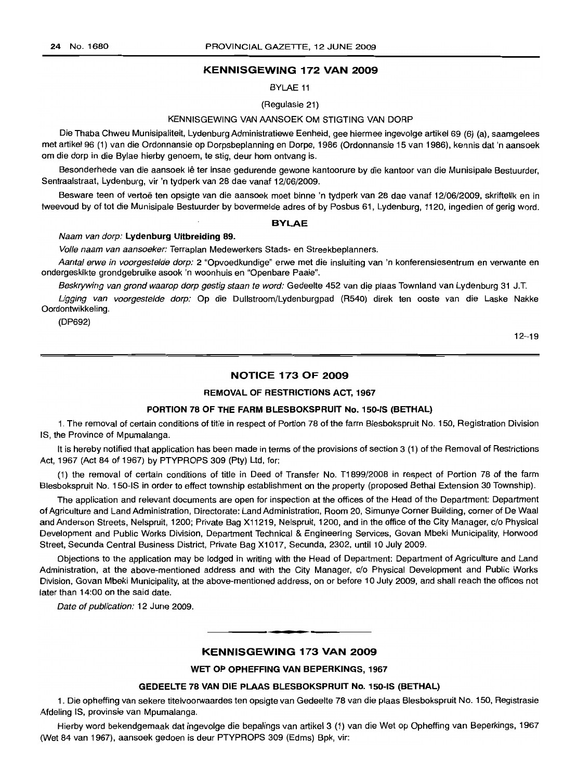#### KENNISGEWING 172 VAN 2009

BYLAE 11

(Regulasie 21)

#### KENNISGEWING VAN AANSOEK OM STIGTING VAN DORP

Die Thaba Chweu Munisipaliteit, Lydenburg Administratiewe Eenheid, gee hiermee ingevolge artikel 69 (6) (a), saamgelees met artikel 96 (1) van die Ordonnansie op Dorpsbeplanning en Dorpe, 1986 (Ordonnansie 15 van 1986), kennis dat 'n aansoek om die dorp in die Bylae hierby genoem, te stig, deur hom ontvang is.

Besonderhede van die aansoek lê ter insae gedurende gewone kantoorure by die kantoor van die Munisipale Bestuurder, Sentraalstraat, Lydenburg, vir 'n tydperk van 28 dae vanaf 12/06/2009.

Besware teen of vertoë ten opsigte van die aansoek moet binne 'n tydperk van 28 dae vanaf 12/06/2009, skriftelik en in tweevoud by of tot die Munisipale Bestuurder by bovermelde adres of by Posbus 61, Lydenburg, 1120, ingedien of gerig word.

#### BYLAE

### Naam van dorp: Lydenburg Uitbreiding 89.

Volle naam van aansoeker: Terraplan Medewerkers Stads- en Streekbeplanners.

Aantal erwe in voorgestelde dorp: 2 "Opvoedkundige" erwe met die insluiting van 'n konferensiesentrum en verwante en ondergeskikte grondgebruike asook 'n woonhuis en "Openbare Paaie".

Beskrywing van grond waarop dorp gestig staan te word: Gedeelte 452 van die plaas Townland van Lydenburg 31 J.T.

Ligging van voorgestelde dorp: Op die Dullstroom/Lydenburgpad (R540) direk ten ooste van die Laske Nakke Oordontwikkeling.

(DP692)

 $12 - 19$ 

### NOTICE 173 OF 2009

#### REMOVAL OF RESTRICTIONS ACT, 1967

## PORTION 78 OF THE FARM BLESBOKSPRUIT No. 150-IS (BETHAL)

1. The removal of certain conditions of title in respect of Portion 78 of the farm Blesbokspruit No. 150, Registration Division IS, the Province of Mpumalanga.

It is hereby notified that application has been made in terms of the provisions of section 3 (1) of the Removal of Restrictions Act, 1967 (Act 84 of 1967) by PTYPROPS 309 (Pty) Ltd, for:

(1) the removal of certain conditions of title in Deed of Transfer No. T1899/2008 in respect of Portion 78 of the farm Blesbokspruit No. 150-IS in order to effect township establishment on the property (proposed Bethal Extension 30 Township).

The application and relevant documents are open for inspection at the offices of the Head of the Department: Department of Agriculture and Land Administration, Directorate: Land Administration, Room 20, Simunye Corner Building, corner of De Waal and Anderson Streets, Nelspruit, 1200; Private Bag X11219, Nelspruit, 1200, and in the office of the City Manager, c/o Physical Development and Public Works Division, Department Technical & Engineering Services, Govan Mbeki Municipality, Horwood Street, Secunda Central Business District, Private Bag X1017, Secunda, 2302, until 10 July 2009.

Objections to the application may be lodged in writing with the Head of Department: Department of Agriculture and Land Administration, at the above-mentioned address and with the City Manager, c/o Physical Development and Public Works Division, Govan Mbeki Municipality, at the above-mentioned address, on or before 10 July 2009, and shall reach the offices not later than 14:00 on the said date.

Date of publication: 12 June 2009.

#### KENNISGEWING 173 VAN 2009

.**- .**

WET OP OPHEFFING VAN BEPERKINGS, 1967

#### GEDEELTE 78 VAN DIE PLAAS BLESBOKSPRUIT No. 150-IS (BETHAL)

1. Die opheffing van sekere titelvoorwaardes ten opsigte van Gedeelte 78 van die plaas Blesbokspruit No. 150, Registrasie Afdeling IS, provinsie van Mpumalanga.

Hierby word bekendgemaak dat ingevolge die bepalings van artikel 3 (1) van die Wet op Opheffing van Beperkings, 1967 (Wet 84 van 1967), aansoek gedoen is deur PTYPROPS 309 (Edms) Bpk, vir: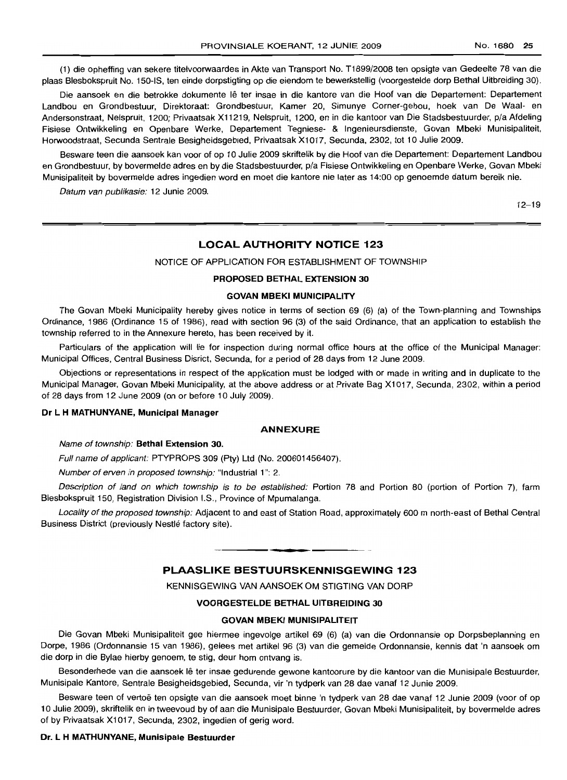(1) die opheffing van sekere titelvoorwaardes in Akte van Transport No. T1899/2008 ten opsigte van Gedeelte 78 van die plaas Blesbokspruit No. 150-IS, ten einde dorpstigting op die eiendom te bewerkstellig (voorgestelde dorp Bethal Uitbreiding 30).

Die aansoek en die betrokke dokumente lê ter insae in die kantore van die Hoof van die Departement: Departement Landbou en Grondbestuur, Direktoraat: Grondbestuur, Kamer 20, Simunye Corner-gebou, hoek van De Waal- en Andersonstraat, Nelspruit, 1200; Privaatsak X11219, Nelspruit, 1200, en in die kantoor van Die Stadsbestuurder, pia Afdeling Fisiese Ontwikkeling en Openbare Werke, Departement Tegniese- & Ingenieursdienste, Govan Mbeki Munisipaliteit, Horwoodstraat, Secunda Sentrale Besigheidsgebied, Privaatsak X1017, Secunda, 2302, tot 10 Julie 2009.

Besware teen die aansoek kan voor of op 10 Julie 2009 skriftelik by die Hoof van die Departement: Departement Landbou en Grondbestuur, by bovermelde adres en by die Stadsbestuurder, pia Fisiese Ontwikkeling en Openbare Werke, Govan Mbeki Munisipaliteit by bovermelde adres ingedien word en moet die kantore nie later as 14:00 op genoemde datum bereik nie.

Datum van publikasie: 12 Junie 2009.

12-19

## **LOCAL AUTHORITY NOTICE 123**

NOTICE OF APPLICATION FOR ESTABLISHMENT OF TOWNSHIP

#### **PROPOSED BETHAL EXTENSION 30**

#### **GOVAN MBEKI MUNICIPALITY**

The Govan Mbeki Municipality hereby gives notice in terms of section 69 (6) (a) of the Town-planning and Townships Ordinance, 1986 (Ordinance 15 of 1986), read with section 96 (3) of the said Ordinance, that an application to establish the township referred to in the Annexure hereto, has been received by it.

Particulars of the application will lie for inspection during normal office hours at the office of the Municipal Manager: Municipal Offices, Central Business Disrict, Secunda, for a period of 28 days from 12 June 2009.

Objections or representations in respect of the application must be lodged with or made in writing and in duplicate to the Municipal Manager, Govan Mbeki Municipality, at the above address or at Private Bag X1017, Secunda, 2302, within a period of 28 days from 12 June 2009 (on or before 10 July 2009).

#### **Dr L H MATHUNYANE, Municipal Manager**

#### **ANNEXURE**

Name of township: **Bethal Extension** 30.

Full name of applicant: PTYPROPS 309 (Pty) Ltd (No. 200601456407).

Number of erven in proposed township: "Industrial 1": 2.

Description of land on which township is to be established: Portion 78 and Portion 80 (portion of Portion 7), farm Blesbokspruit 150, Registration Division I.S., Province of Mpumalanga.

Locality of the proposed township: Adjacent to and east of Station Road, approximately 600 m north-east of Bethal Central Business District (previously Nestlé factory site).

## **PLAASLIKE BESTUURSKENNISGEWING 123**

**• •**

KENNISGEWING VAN AANSOEK OM STIGTING VAN DORP

#### **VOORGESTELDE BETHAL UITBREIDING 30**

#### **GOVAN MBEKI MUNISIPALITEIT**

Die Govan Mbeki Munisipaliteit gee hiermee ingevolge artikel 69 (6) (a) van die Ordonnansie op Dorpsbeplanning en Dorpe, 1986 (Ordonnansie 15 van 1986), gelees met artikel 96 (3) van die gemelde Ordonnansie, kennis dat 'n aansoek om die dorp in die Bylae hierby genoem, te stig, deur hom ontvang is.

Besonderhede van die aansoek lê ter insae gedurende gewone kantoorure by die kantoor van die Munisipale Bestuurder, Munisipale Kantore, Sentrale Besigheidsgebied, Secunda, vir 'n tydperk van 28 dae vanaf 12 Junie 2009.

Besware teen of vertoe ten opsigte van die aansoek moet binne 'n tydperk van 28 dae vanaf 12 Junie 2009 (voor of op 10 Julie 2009), skriftelik en in tweevoud by of aan die Munisipale Bestuurder, Govan Mbeki Munisipaliteit, by bovermelde adres of by Privaatsak X1017, Secunda, 2302, ingedien of gerig word.

#### **Dr. L H MATHUNYANE, Munisipale Bestuurder**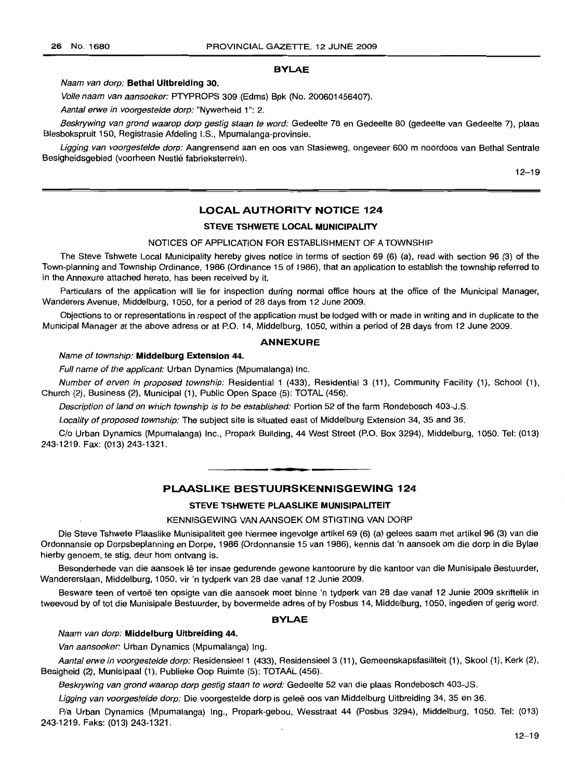#### BYLAE

#### Naam van dorp: Bethal Uitbreiding 30.

Volle naam van aansoeker: PTYPROPS 309 (Edms) Bpk (No. 200601456407).

Aantal erwe in voorgestelde dorp: "Nywerheid 1": 2.

Beskrywing van grond waarop dorp gestig staan te word: Gedeelte 78 en Gedeelte 80 (gedeelte van Gedeelte 7), plaas Blesbokspruit 150, Registrasie Afdeling I.S., Mpumalanga-provinsie.

Ligging van voorgestelde dorp: Aangrensend aan en oos van Stasieweg, ongeveer 600 m noordoos van Bethal Sentrale Besigheidsgebied (voorheen Nestle fabrieksterrein).

12-19

## LOCAL AUTHORITY NOTICE 124

#### STEVE TSHWETE LOCAL MUNICIPALITY

#### NOTICES OF APPLICATION FOR ESTABLISHMENT OF A TOWNSHIP

The Steve Tshwete Local Municipality hereby gives notice in terms of section 69 (6) (a), read with section 96 (3) of the Town-planning and Township Ordinance, 1986 (Ordinance 15 of 1986), that an application to establish the township referred to in the Annexure attached hereto, has been received by it.

Particulars of the application will lie for inspection during normal office hours at the office of the Municipal Manager, Wanderers Avenue, Middelburg, 1050, for a period of 28 days from 12 June 2009.

Objections to or representations in respect of the application must be lodged with or made in writing and in duplicate to the Municipal Manager at the above adress or at P.O. 14, Middelburg, 1050, within a period of 28 days from 12 June 2009.

#### ANNEXURE

## Name of township: Middelburg Extension 44.

Full name of the applicant: Urban Dynamics (Mpumalanga) Inc.

Number of erven in proposed township: Residential 1 (433), Residential 3 (11), Community Facility (1), School (1), Church (2), Business (2), Municipal (1), Public Open Space (5): TOTAL (456).

Description of land on which township is to be established: Portion 52 of the farm Rondebosch 403-J.S.

Locality of proposed township: The subject site is situated east of Middelburg Extension 34, 35 and 36.

C/o Urban Dynamics (Mpumalanga) Inc., Propark Building, 44 West Street (P.O. Box 3294), Middelburg, 1050. Tel: (013) 243-1219. Fax: (013) 243-1321.

## PLAASLIKE BESTUURSKENNISGEWING 124

**• •**

## STEVE TSHWETE PLAASLIKE MUNISIPALITEIT

#### KENNISGEWING VAN AANSOEK OM STIGTING VAN DORP

Die Steve Tshwete Plaaslike Munisipaliteit gee hiermee ingevolge artikel 69 (6) (a) gelees saam met artikel 96 (3) van die Ordonnansie op Dorpsbeplanning en Dorpe, 1986 (Ordonnansie 15 van 1986), kennis dat 'n aansoek om die dorp in die Bylae hierby genoem, te stig, deur hom ontvang is.

Besonderhede van die aansoek lê ter insae gedurende gewone kantoorure by die kantoor van die Munisipale Bestuurder, Wandererslaan, Middelburg, 1050, vir 'n tydperk van 28 dae vanaf 12 Junie 2009.

Besware teen of vertoë ten opsigte van die aansoek moet binne 'n tydperk van 28 dae vanaf 12 Junie 2009 skriftelik in tweevoud by of tot die Munisipale Bestuurder, by bovermelde adres of by Posbus 14, Middelburg, 1050, ingedien of gerig word.

## BYLAE

## Naam van dorp: Middelburg Uitbreiding 44.

Van aansoeker: Urban Dynamics (Mpumalanga) Ing.

Aantal erwe in voorgestelde dorp: Residensieel 1 (433), Residensieel 3 (11), Gemeenskapsfasiliteit (1), Skool (1), Kerk (2), Besigheid (2), Munisipaal (1), Publieke Oop Ruimte (5): TOTAAL (456).

Beskrywing van grond waarop dorp gestig staan te word: Gedeelte 52 van die plaas Rondebosch 403-JS.

Ligging van voorgestelde dorp: Die voorgestelde dorp is geleë oos van Middelburg Uitbreiding 34, 35 en 36.

Pia Urban Dynamics (Mpumalanga) Ing., Propark-gebou, Wesstraat 44 (Posbus 3294), Middelburg, 1050. Tel: (013) 243-1219. Faks: (013) 243-1321.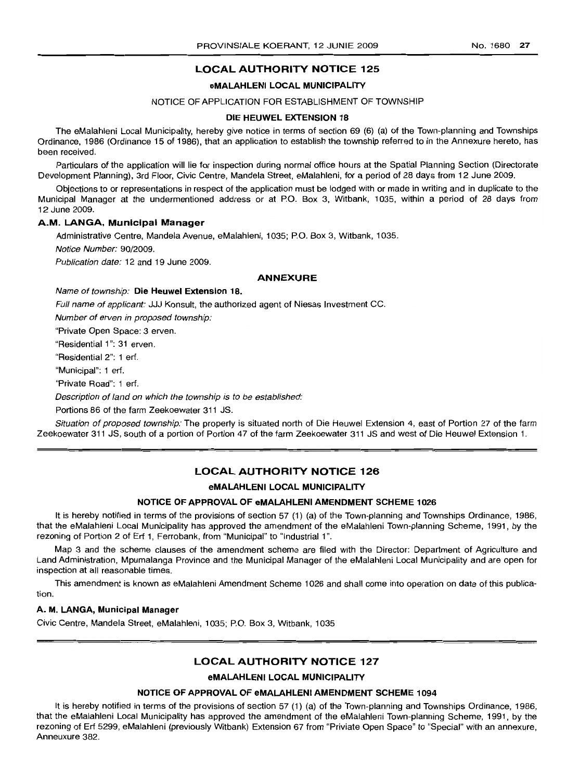## LOCAL AUTHORITY NOTICE 125

#### eMALAHLENI LOCAL MUNICIPALITY

#### NOTICE OF APPLICATION FOR ESTABLISHMENT OF TOWNSHIP

#### DIE HEUWEL EXTENSION 18

The eMalahleni L.ocal Municipality, hereby give notice in terms of section 69 (6) (a) of the Town-planning and Townships Ordinance, 19B6 (Ordinance 15 of 19B6), that an application to establish the township referred to in the Annexure hereto, has been received.

Particulars of the application will lie for inspection during normal office hours at the Spatial Planning Section (Directorate Development Planning), 3rd Floor, Civic Centre, Mandela Street, eMalahleni, for a period of 28 days from 12 June 2009.

Objections to or representations in respect of the application must be lodged with or made in writing and in duplicate to the Municipal Manager at the undermentioned address or at P.O. Box 3, Witbank, 1035, within a period of 28 days from 12 June 2009.

## A.M. LANGA. Municipal Manager

Administrative Centre, Mandela Avenue, eMalahleni, 1035; P.O. Box 3, Witbank, 1035.

Notice Number: 90/2009.

Publication date: 12 and 19 June 2009.

#### ANNEXURE

Name of township: Die Heuwel Extension 18.

Full name of applicant: JJJ Konsult, the authorized agent of Niesas Investment CC.

Number of erven in proposed township:

"Private Open Space: 3 erven.

"Residential 1": 31 erven.

"Residential 2": 1 erf.

"Municipal": 1 erf.

"Private Road": 1 erf.

Description of land on which the township is to be established:

Portions B6 of the farm Zeekoewater 311 JS.

Situation of proposed township: The property is situated north of Die Heuwel Extension 4, east of Portion 27 of the farm Zeekoewater 311 JS, south of a portion of Portion 47 of the farm Zeekoewater 311 JS and west of Die Heuwel Extension 1.

## LOCAL AUTHORITY NOTICE 126

#### eMALAHLENI LOCAL MUNICIPALITY

## NOTICE OF APPROVAL OF eMALAHLENI AMENDMENT SCHEME 1026

It is hereby notified in terms of the provisions of section 57 (1) (a) of the Town-planning and Townships Ordinance, 1986, that the eMalahleni Local Municipality has approved the amendment of the eMalahleni Town-planning Scheme, 1991, by the rezoning of Portion 2 of Erf 1, Ferrobank, from "Municipal" to "Industrial 1".

Map 3 and the scheme clauses of the amendment scheme are filed with the Director: Department of Agriculture and Land Administration, Mpumalanga Province and the Municipal Manager of the eMalahleni Local Municipality and are open for inspection at all reasonable times.

This amendment is known as eMalahleni Amendment Scheme 1026 and shall come into operation on date of this publication.

#### A. M. LANGA, Municipal Manager

Civic Centre, Mandela Street, eMalahleni, 1035; P.O. Box 3, Witbank, 1035

## LOCAL AUTHORITY NOTICE 127

## eMALAHLENI LOCAL MUNICIPALITY

#### NOTICE OF APPROVAL OF eMALAHLENI AMENDMENT SCHEME 1094

It is hereby notified in terms of the provisions of section 57 (1) (a) of the Town-planning and Townships Ordinance, 1986, that the eMalahleni Local Municipality has approved the amendment of the eMalahleni Town-planning Scheme, 1991, by the rezoning of Erf 5299, eMalahleni (previously Witbank) Extension 67 from "Priviate Open Space" to "Special" with an annexure, Anneuxure 382.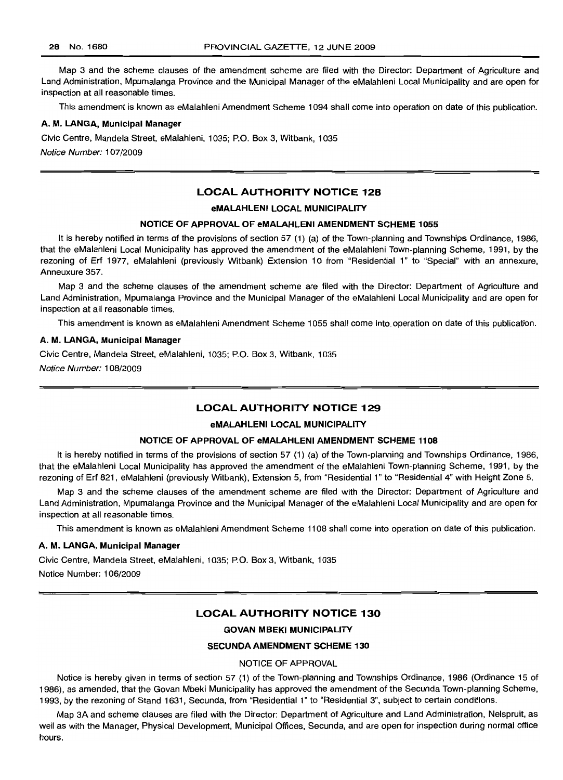Map 3 and the scheme clauses of the amendment scheme are filed with the Director: Department of Agriculture and Land Administration, Mpumalanga Province and the Municipal Manager of the eMalahleni Local Municipality and are open for inspection at all reasonable times.

This amendment is known as eMalahleni Amendment Scheme 1094 shall come into operation on date of this publication.

#### A. M. LANGA, Municipal Manager

Civic Centre, Mandela Street, eMalahleni, 1035; P.O. Box 3, Witbank, 1035 Notice Number: 107/2009

## LOCAL AUTHORITY NOTICE 128

#### eMALAHLENI LOCAL MUNICIPALITY

#### NOTICE OF APPROVAL OF eMALAHLENI AMENDMENT SCHEME 1055

It is hereby notified in terms of the provisions of section 57 (1) (a) of the Town-planning and Townships Ordinance, 1986, that the eMalahleni Local Municipality has approved the amendment of the eMalahleni Town-planning Scheme, 1991, by the rezoning of Erf 1977, eMalahleni (previously Witbank) Extension 10 from "Residential 1" to "Special" with an annexure, Anneuxure 357.

Map 3 and the scheme clauses of the amendment scheme are filed with the Director: Department of Agriculture and Land Administration, Mpumalanga Province and the Municipal Manager of the eMalahleni Local Municipality and are open for inspection at all reasonable times.

This amendment is known as eMalahleni Amendment Scheme 1055 shall come into operation on date of this publication.

#### A. M. LANGA, Municipal Manager

Civic Centre, Mandela Street, eMalahleni, 1035; P.O. Box 3, Witbank, 1035

Notice Number: 108/2009

## LOCAL AUTHORITY NOTICE 129

#### eMALAHLENI LOCAL MUNICIPALITY

#### NOTICE OF APPROVAL OF eMALAHLENI AMENDMENT SCHEME 1108

It is hereby notified in terms of the provisions of section 57 (1) (a) of the Town-planning and Townships Ordinance, 1986, that the eMalahleni Local Municipality has approved the amendment of the eMalahleni Town-planning Scheme, 1991, by the rezoning of Erf 821, eMalahleni (previously Witbank), Extension 5, from "Residential 1" to "Residential 4" with Height Zone 5.

Map 3 and the scheme clauses of the amendment scheme are filed with the Director: Department of Agriculture and Land Administration, Mpumalanga Province and the Municipal Manager of the eMalahleni Local Municipality and are open for inspection at all reasonable times.

This amendment is known as eMalahleni Amendment Scheme 1108 shall come into operation on date of this publication.

#### A. M. LANGA, Municipal Manager

Civic Centre, Mandela Street, eMalahleni, 1035; P.O. Box 3, Witbank, 1035 Notice Number: 106/2009

## LOCAL AUTHORITY NOTICE 130

#### GOVAN MBEKI MUNICIPALITY

#### SECUNDA AMENDMENT SCHEME 130

#### NOTICE OF APPROVAL

Notice is hereby given in terms of section 57 (1) of the Town-planning and Townships Ordinance, 1986 (Ordinance 15 of 1986), as amended, that the Govan Mbeki Municipality has approved the amendment of the Secunda Town-planning Scheme, 1993, by the rezoning of Stand 1631, Secunda, from "Residential 1" to "Residential 3", subject to certain conditions.

Map 3A and scheme clauses are filed with the Director: Department of Agriculture and Land Administration, Nelspruit, as well as with the Manager, Physical Development, Municipal Offices, Secunda, and are open for inspection during normal office hours.